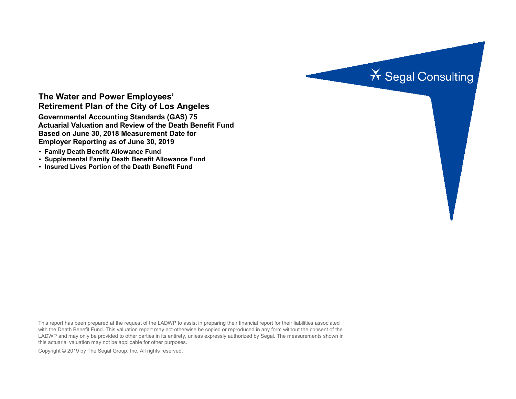

## **The Water and Power Employees' Retirement Plan of the City of Los Angeles**

**Governmental Accounting Standards (GAS) 75 Actuarial Valuation and Review of the Death Benefit Fund Based on June 30, 2018 Measurement Date for Employer Reporting as of June 30, 2019**

- **Family Death Benefit Allowance Fund**
- **Supplemental Family Death Benefit Allowance Fund**
- **Insured Lives Portion of the Death Benefit Fund**

This report has been prepared at the request of the LADWP to assist in preparing their financial report for their liabilities associated with the Death Benefit Fund. This valuation report may not otherwise be copied or reproduced in any form without the consent of the LADWP and may only be provided to other parties in its entirety, unless expressly authorized by Segal. The measurements shown in this actuarial valuation may not be applicable for other purposes.

Copyright © 2019 by The Segal Group, Inc. All rights reserved.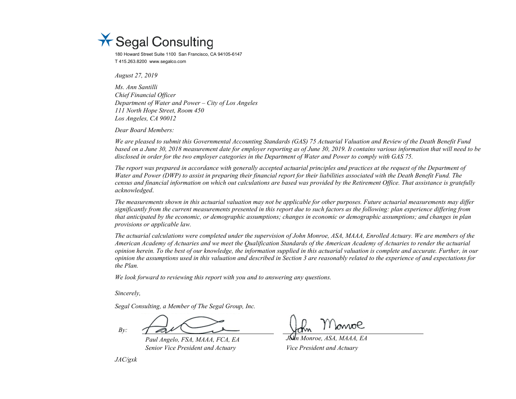

180 Howard Street Suite 1100 San Francisco, CA 94105-6147 T 415.263.8200 www.segalco.com

*August 27, 2019*

*Ms. Ann Santilli Chief Financial Officer Department of Water and Power – City of Los Angeles 111 North Hope Street, Room 450 Los Angeles, CA 90012*

*Dear Board Members:* 

*We are pleased to submit this Governmental Accounting Standards (GAS) 75 Actuarial Valuation and Review of the Death Benefit Fund based on a June 30, 2018 measurement date for employer reporting as of June 30, 2019. It contains various information that will need to be disclosed in order for the two employer categories in the Department of Water and Power to comply with GAS 75.*

*The report was prepared in accordance with generally accepted actuarial principles and practices at the request of the Department of Water and Power (DWP) to assist in preparing their financial report for their liabilities associated with the Death Benefit Fund. The census and financial information on which out calculations are based was provided by the Retirement Office. That assistance is gratefully acknowledged*.

*The measurements shown in this actuarial valuation may not be applicable for other purposes. Future actuarial measurements may differ significantly from the current measurements presented in this report due to such factors as the following: plan experience differing from that anticipated by the economic, or demographic assumptions; changes in economic or demographic assumptions; and changes in plan provisions or applicable law.*

*The actuarial calculations were completed under the supervision of John Monroe, ASA, MAAA, Enrolled Actuary. We are members of the American Academy of Actuaries and we meet the Qualification Standards of the American Academy of Actuaries to render the actuarial opinion herein. To the best of our knowledge, the information supplied in this actuarial valuation is complete and accurate. Further, in our opinion the assumptions used in this valuation and described in Section 3 are reasonably related to the experience of and expectations for the Plan.*

*We look forward to reviewing this report with you and to answering any questions.*

*Sincerely,*

*Segal Consulting, a Member of The Segal Group, Inc.*

*By:*

*Paul Angelo, FSA, MAAA, FCA, EA John Monroe, ASA, MAAA, EA Senior Vice President and Actuary Vice President and Actuary*

*JAC/gxk*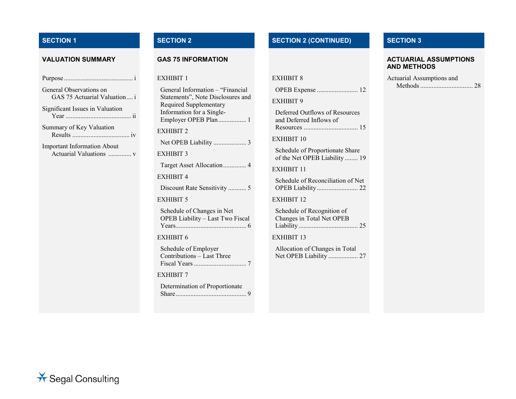| General Observations on<br>GAS 75 Actuarial Valuation i       |
|---------------------------------------------------------------|
| Significant Issues in Valuation                               |
| Summary of Key Valuation                                      |
| <b>Important Information About</b><br>Actuarial Valuations  v |
|                                                               |
|                                                               |

| General Information - "Financial<br>Statements", Note Disclosures and<br>Required Supplementary<br>Information for a Single-<br>Employer OPEB Plan 1 |
|------------------------------------------------------------------------------------------------------------------------------------------------------|
| <b>EXHIBIT 2</b>                                                                                                                                     |
| Net OPEB Liability  3                                                                                                                                |
| <b>EXHIBIT 3</b>                                                                                                                                     |
| Target Asset Allocation 4                                                                                                                            |
| <b>EXHIBIT 4</b>                                                                                                                                     |
| Discount Rate Sensitivity  5                                                                                                                         |
| <b>EXHIBIT 5</b>                                                                                                                                     |
| Schedule of Changes in Net<br>OPEB Liability - Last Two Fiscal                                                                                       |
| <b>EXHIBIT 6</b>                                                                                                                                     |
| Schedule of Employer<br>Contributions - Last Three                                                                                                   |
| <b>EXHIBIT 7</b>                                                                                                                                     |
| Determination of Proportionate                                                                                                                       |

## **SECTION 1 SECTION 2 SECTION 2 (CONTINUED) SECTION 3**

## EXHIBIT 8

|--|--|--|

EXHIBIT 9

Deferred Outflows of Resources and Deferred Inflows of Resources ................................. 15

EXHIBIT 10

Schedule of Proportionate Share of the Net OPEB Liability ........ 19

EXHIBIT 11

Schedule of Reconciliation of Net OPEB Liability......................... 22

EXHIBIT 12

Schedule of Recognition of Changes in Total Net OPEB Liability .................................... 25

EXHIBIT 13

Allocation of Changes in Total Net OPEB Liability .................. 27

## **VALUATION SUMMARY GAS 75 INFORMATION GAS 75 INFORMATION AND METHODS**

| Actuarial Assumptions and |  |
|---------------------------|--|
|                           |  |

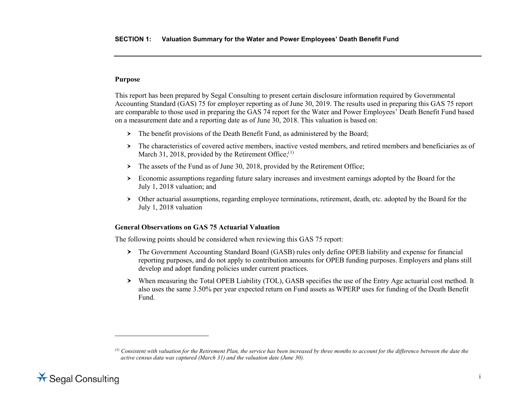## <span id="page-3-0"></span>**Purpose**

This report has been prepared by Segal Consulting to present certain disclosure information required by Governmental Accounting Standard (GAS) 75 for employer reporting as of June 30, 2019. The results used in preparing this GAS 75 report are comparable to those used in preparing the GAS 74 report for the Water and Power Employees' Death Benefit Fund based on a measurement date and a reporting date as of June 30, 2018. This valuation is based on:

- > The benefit provisions of the Death Benefit Fund, as administered by the Board;
- The characteristics of covered active members, inactive vested members, and retired members and beneficiaries as of March 31, 2018, provided by the Retirement Office; $(1)$  $(1)$
- $\triangleright$  The assets of the Fund as of June 30, 2018, provided by the Retirement Office;
- Economic assumptions regarding future salary increases and investment earnings adopted by the Board for the July 1, 2018 valuation; and
- Other actuarial assumptions, regarding employee terminations, retirement, death, etc. adopted by the Board for the July 1, 2018 valuation

## **General Observations on GAS 75 Actuarial Valuation**

The following points should be considered when reviewing this GAS 75 report:

- The Government Accounting Standard Board (GASB) rules only define OPEB liability and expense for financial reporting purposes, and do not apply to contribution amounts for OPEB funding purposes. Employers and plans still develop and adopt funding policies under current practices.
- When measuring the Total OPEB Liability (TOL), GASB specifies the use of the Entry Age actuarial cost method. It also uses the same 3.50% per year expected return on Fund assets as WPERP uses for funding of the Death Benefit Fund.

*<sup>(1)</sup> Consistent with valuation for the Retirement Plan, the service has been increased by three months to account for the difference between the date the active census data was captured (March 31) and the valuation date (June 30).* 



 $\ddot{\phantom{a}}$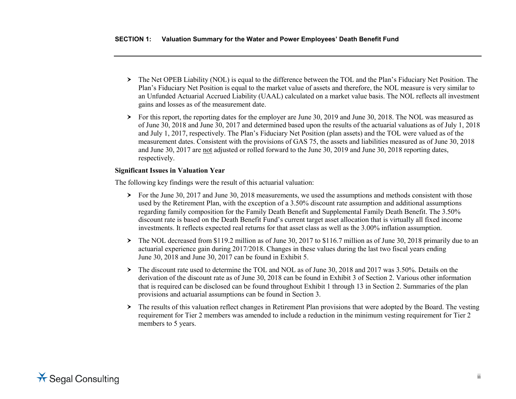- The Net OPEB Liability (NOL) is equal to the difference between the TOL and the Plan's Fiduciary Net Position. The Plan's Fiduciary Net Position is equal to the market value of assets and therefore, the NOL measure is very similar to an Unfunded Actuarial Accrued Liability (UAAL) calculated on a market value basis. The NOL reflects all investment gains and losses as of the measurement date.
- For this report, the reporting dates for the employer are June 30, 2019 and June 30, 2018. The NOL was measured as of June 30, 2018 and June 30, 2017 and determined based upon the results of the actuarial valuations as of July 1, 2018 and July 1, 2017, respectively. The Plan's Fiduciary Net Position (plan assets) and the TOL were valued as of the measurement dates. Consistent with the provisions of GAS 75, the assets and liabilities measured as of June 30, 2018 and June 30, 2017 are not adjusted or rolled forward to the June 30, 2019 and June 30, 2018 reporting dates, respectively.

## **Significant Issues in Valuation Year**

The following key findings were the result of this actuarial valuation:

- $\triangleright$  For the June 30, 2017 and June 30, 2018 measurements, we used the assumptions and methods consistent with those used by the Retirement Plan, with the exception of a 3.50% discount rate assumption and additional assumptions regarding family composition for the Family Death Benefit and Supplemental Family Death Benefit. The 3.50% discount rate is based on the Death Benefit Fund's current target asset allocation that is virtually all fixed income investments. It reflects expected real returns for that asset class as well as the 3.00% inflation assumption.
- The NOL decreased from \$119.2 million as of June 30, 2017 to \$116.7 million as of June 30, 2018 primarily due to an actuarial experience gain during 2017/2018. Changes in these values during the last two fiscal years ending June 30, 2018 and June 30, 2017 can be found in Exhibit 5.
- $\triangleright$  The discount rate used to determine the TOL and NOL as of June 30, 2018 and 2017 was 3.50%. Details on the derivation of the discount rate as of June 30, 2018 can be found in Exhibit 3 of Section 2. Various other information that is required can be disclosed can be found throughout Exhibit 1 through 13 in Section 2. Summaries of the plan provisions and actuarial assumptions can be found in Section 3.
- $\triangleright$  The results of this valuation reflect changes in Retirement Plan provisions that were adopted by the Board. The vesting requirement for Tier 2 members was amended to include a reduction in the minimum vesting requirement for Tier 2 members to 5 years.

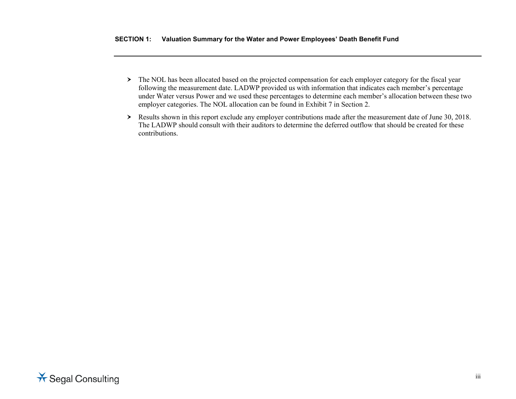- > The NOL has been allocated based on the projected compensation for each employer category for the fiscal year following the measurement date. LADWP provided us with information that indicates each member's percentage under Water versus Power and we used these percentages to determine each member's allocation between these two employer categories. The NOL allocation can be found in Exhibit 7 in Section 2.
- Results shown in this report exclude any employer contributions made after the measurement date of June 30, 2018. The LADWP should consult with their auditors to determine the deferred outflow that should be created for these contributions.

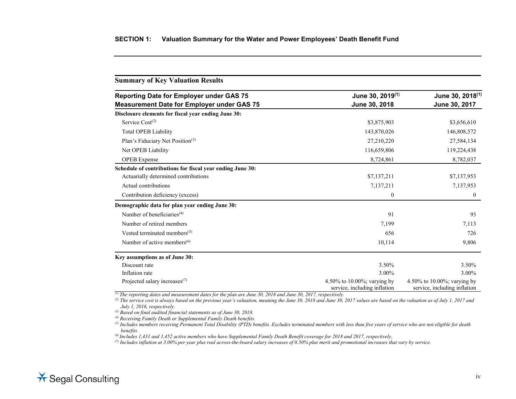| <b>Summary of Key Valuation Results</b>                   |                                                             |                                                             |  |  |
|-----------------------------------------------------------|-------------------------------------------------------------|-------------------------------------------------------------|--|--|
| <b>Reporting Date for Employer under GAS 75</b>           | June 30, 2019 <sup>(1)</sup>                                | June 30, 2018 <sup>(1)</sup>                                |  |  |
| <b>Measurement Date for Employer under GAS 75</b>         | June 30, 2018                                               | June 30, 2017                                               |  |  |
| Disclosure elements for fiscal year ending June 30:       |                                                             |                                                             |  |  |
| Service $Cost(2)$                                         | \$3,875,903                                                 | \$3,656,610                                                 |  |  |
| <b>Total OPEB Liability</b>                               | 143,870,026                                                 | 146,808,572                                                 |  |  |
| Plan's Fiduciary Net Position <sup>(3)</sup>              | 27,210,220                                                  | 27,584,134                                                  |  |  |
| Net OPEB Liability                                        | 116,659,806                                                 | 119,224,438                                                 |  |  |
| <b>OPEB</b> Expense                                       | 8,724,861                                                   | 8,782,037                                                   |  |  |
| Schedule of contributions for fiscal year ending June 30: |                                                             |                                                             |  |  |
| Actuarially determined contributions                      | \$7,137,211                                                 | \$7,137,953                                                 |  |  |
| Actual contributions                                      | 7,137,211                                                   | 7,137,953                                                   |  |  |
| Contribution deficiency (excess)                          | $\boldsymbol{0}$                                            | $\mathbf{0}$                                                |  |  |
| Demographic data for plan year ending June 30:            |                                                             |                                                             |  |  |
| Number of beneficiaries <sup><math>(4)</math></sup>       | 91                                                          | 93                                                          |  |  |
| Number of retired members                                 | 7,199                                                       | 7,113                                                       |  |  |
| Vested terminated members <sup><math>(5)</math></sup>     | 656                                                         | 726                                                         |  |  |
| Number of active members $(6)$                            | 10,114                                                      | 9,806                                                       |  |  |
| Key assumptions as of June 30:                            |                                                             |                                                             |  |  |
| Discount rate                                             | 3.50%                                                       | 3.50%                                                       |  |  |
| Inflation rate                                            | 3.00%                                                       | 3.00%                                                       |  |  |
| Projected salary increases <sup>(7)</sup>                 | 4.50% to 10.00%; varying by<br>service, including inflation | 4.50% to 10.00%; varying by<br>service, including inflation |  |  |

*(1) The reporting dates and measurement dates for the plan are June 30, 2018 and June 30, 2017, respectively.*

*(2) The service cost is always based on the previous year's valuation, meaning the June 30, 2018 and June 30, 2017 values are based on the valuation as of July 1, 2017 and July 1, 2016, respectively.*

*(3) Based on final audited financial statements as of June 30, 2018.*

*(4) Receiving Family Death or Supplemental Family Death benefits.*

*(5) Includes members receiving Permanent Total Disability (PTD) benefits. Excludes terminated members with less than five years of service who are not eligible for death benefits.*

*(6) Includes 1,431 and 1,452 active members who have Supplemental Family Death Benefit coverage for 2018 and 2017, respectively.*

*(7) Includes inflation at 3.00% per year plus real across-the-board salary increases of 0.50% plus merit and promotional increases that vary by service.*

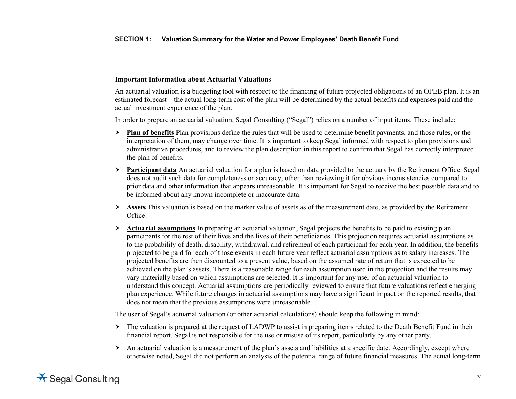## **Important Information about Actuarial Valuations**

An actuarial valuation is a budgeting tool with respect to the financing of future projected obligations of an OPEB plan. It is an estimated forecast – the actual long-term cost of the plan will be determined by the actual benefits and expenses paid and the actual investment experience of the plan.

In order to prepare an actuarial valuation, Segal Consulting ("Segal") relies on a number of input items. These include:

- **Plan of benefits** Plan provisions define the rules that will be used to determine benefit payments, and those rules, or the interpretation of them, may change over time. It is important to keep Segal informed with respect to plan provisions and administrative procedures, and to review the plan description in this report to confirm that Segal has correctly interpreted the plan of benefits.
- **Participant data** An actuarial valuation for a plan is based on data provided to the actuary by the Retirement Office. Segal does not audit such data for completeness or accuracy, other than reviewing it for obvious inconsistencies compared to prior data and other information that appears unreasonable. It is important for Segal to receive the best possible data and to be informed about any known incomplete or inaccurate data.
- **Assets** This valuation is based on the market value of assets as of the measurement date, as provided by the Retirement Office.
- **Actuarial assumptions** In preparing an actuarial valuation, Segal projects the benefits to be paid to existing plan participants for the rest of their lives and the lives of their beneficiaries. This projection requires actuarial assumptions as to the probability of death, disability, withdrawal, and retirement of each participant for each year. In addition, the benefits projected to be paid for each of those events in each future year reflect actuarial assumptions as to salary increases. The projected benefits are then discounted to a present value, based on the assumed rate of return that is expected to be achieved on the plan's assets. There is a reasonable range for each assumption used in the projection and the results may vary materially based on which assumptions are selected. It is important for any user of an actuarial valuation to understand this concept. Actuarial assumptions are periodically reviewed to ensure that future valuations reflect emerging plan experience. While future changes in actuarial assumptions may have a significant impact on the reported results, that does not mean that the previous assumptions were unreasonable.

The user of Segal's actuarial valuation (or other actuarial calculations) should keep the following in mind:

- $\triangleright$  The valuation is prepared at the request of LADWP to assist in preparing items related to the Death Benefit Fund in their financial report. Segal is not responsible for the use or misuse of its report, particularly by any other party.
- $\triangleright$  An actuarial valuation is a measurement of the plan's assets and liabilities at a specific date. Accordingly, except where otherwise noted, Segal did not perform an analysis of the potential range of future financial measures. The actual long-term

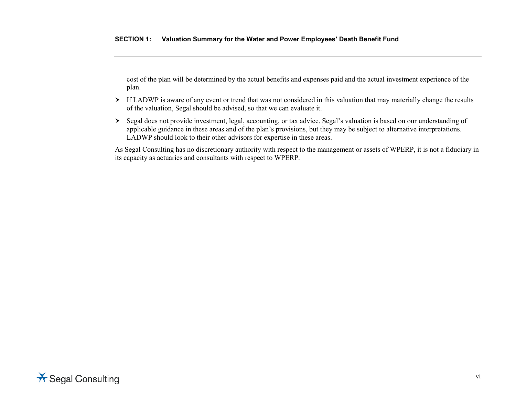cost of the plan will be determined by the actual benefits and expenses paid and the actual investment experience of the plan.

- If LADWP is aware of any event or trend that was not considered in this valuation that may materially change the results of the valuation, Segal should be advised, so that we can evaluate it.
- Segal does not provide investment, legal, accounting, or tax advice. Segal's valuation is based on our understanding of applicable guidance in these areas and of the plan's provisions, but they may be subject to alternative interpretations. LADWP should look to their other advisors for expertise in these areas.

As Segal Consulting has no discretionary authority with respect to the management or assets of WPERP, it is not a fiduciary in its capacity as actuaries and consultants with respect to WPERP.

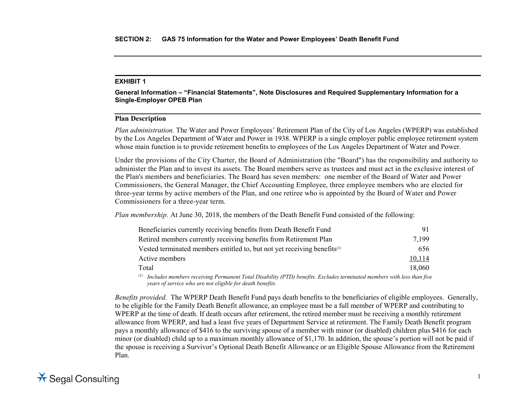**General Information – "Financial Statements", Note Disclosures and Required Supplementary Information for a Single-Employer OPEB Plan**

## **Plan Description**

*Plan administration.* The Water and Power Employees' Retirement Plan of the City of Los Angeles (WPERP) was established by the Los Angeles Department of Water and Power in 1938. WPERP is a single employer public employee retirement system whose main function is to provide retirement benefits to employees of the Los Angeles Department of Water and Power.

Under the provisions of the City Charter, the Board of Administration (the "Board") has the responsibility and authority to administer the Plan and to invest its assets. The Board members serve as trustees and must act in the exclusive interest of the Plan's members and beneficiaries. The Board has seven members: one member of the Board of Water and Power Commissioners, the General Manager, the Chief Accounting Employee, three employee members who are elected for three-year terms by active members of the Plan, and one retiree who is appointed by the Board of Water and Power Commissioners for a three-year term.

*Plan membership.* At June 30, 2018, the members of the Death Benefit Fund consisted of the following:

| Beneficiaries currently receiving benefits from Death Benefit Fund             | 91                                                                                                                                                                                                                                                                                                                            |
|--------------------------------------------------------------------------------|-------------------------------------------------------------------------------------------------------------------------------------------------------------------------------------------------------------------------------------------------------------------------------------------------------------------------------|
| Retired members currently receiving benefits from Retirement Plan              | 7.199                                                                                                                                                                                                                                                                                                                         |
| Vested terminated members entitled to, but not yet receiving benefits $\alpha$ | 656                                                                                                                                                                                                                                                                                                                           |
| Active members                                                                 | 10,114                                                                                                                                                                                                                                                                                                                        |
| Total                                                                          | 18,060                                                                                                                                                                                                                                                                                                                        |
| $(1)$ $\tau$ $1$ $1$<br>$\cdots$ n $\pi$ . In The Amplitude $\cdots$ if $\pi$  | $\cdot$ , $\cdot$ , $\cdot$ , $\cdot$ , $\cdot$ , $\cdot$ , $\cdot$ , $\cdot$ , $\cdot$ , $\cdot$ , $\cdot$ , $\cdot$ , $\cdot$ , $\cdot$ , $\cdot$ , $\cdot$ , $\cdot$ , $\cdot$ , $\cdot$ , $\cdot$ , $\cdot$ , $\cdot$ , $\cdot$ , $\cdot$ , $\cdot$ , $\cdot$ , $\cdot$ , $\cdot$ , $\cdot$ , $\cdot$ , $\cdot$ , $\cdot$ |

*(1) Includes members receiving Permanent Total Disability (PTD) benefits. Excludes terminated members with less than five years of service who are not eligible for death benefits.*

*Benefits provided.* The WPERP Death Benefit Fund pays death benefits to the beneficiaries of eligible employees. Generally, to be eligible for the Family Death Benefit allowance, an employee must be a full member of WPERP and contributing to WPERP at the time of death. If death occurs after retirement, the retired member must be receiving a monthly retirement allowance from WPERP, and had a least five years of Department Service at retirement. The Family Death Benefit program pays a monthly allowance of \$416 to the surviving spouse of a member with minor (or disabled) children plus \$416 for each minor (or disabled) child up to a maximum monthly allowance of \$1,170. In addition, the spouse's portion will not be paid if the spouse is receiving a Survivor's Optional Death Benefit Allowance or an Eligible Spouse Allowance from the Retirement Plan.

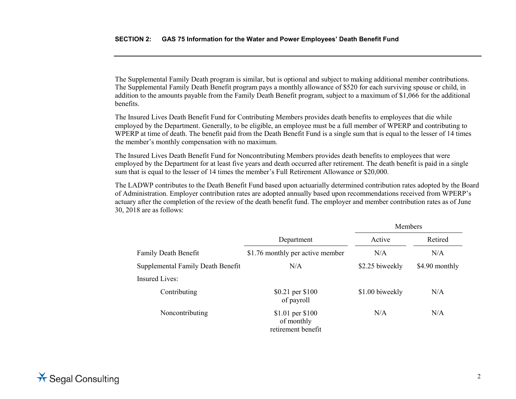The Supplemental Family Death program is similar, but is optional and subject to making additional member contributions. The Supplemental Family Death Benefit program pays a monthly allowance of \$520 for each surviving spouse or child, in addition to the amounts payable from the Family Death Benefit program, subject to a maximum of \$1,066 for the additional benefits.

The Insured Lives Death Benefit Fund for Contributing Members provides death benefits to employees that die while employed by the Department. Generally, to be eligible, an employee must be a full member of WPERP and contributing to WPERP at time of death. The benefit paid from the Death Benefit Fund is a single sum that is equal to the lesser of 14 times the member's monthly compensation with no maximum.

The Insured Lives Death Benefit Fund for Noncontributing Members provides death benefits to employees that were employed by the Department for at least five years and death occurred after retirement. The death benefit is paid in a single sum that is equal to the lesser of 14 times the member's Full Retirement Allowance or \$20,000.

The LADWP contributes to the Death Benefit Fund based upon actuarially determined contribution rates adopted by the Board of Administration. Employer contribution rates are adopted annually based upon recommendations received from WPERP's actuary after the completion of the review of the death benefit fund. The employer and member contribution rates as of June 30, 2018 are as follows:

|                                   |                                                      | Members         |                |
|-----------------------------------|------------------------------------------------------|-----------------|----------------|
|                                   | Department                                           | Active          | Retired        |
| <b>Family Death Benefit</b>       | \$1.76 monthly per active member                     | N/A             | N/A            |
| Supplemental Family Death Benefit | N/A                                                  | \$2.25 biweekly | \$4.90 monthly |
| <b>Insured Lives:</b>             |                                                      |                 |                |
| Contributing                      | \$0.21 per \$100<br>of payroll                       | \$1.00 biweekly | N/A            |
| Noncontributing                   | \$1.01 per \$100<br>of monthly<br>retirement benefit | N/A             | N/A            |

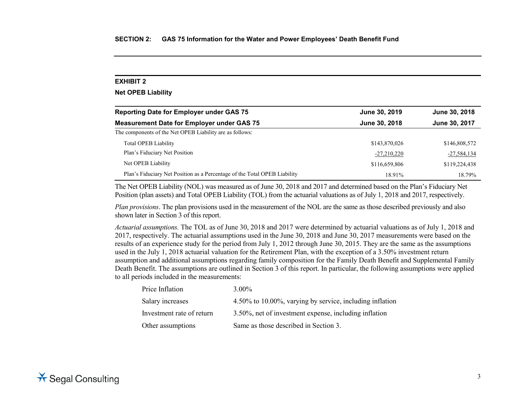## **Net OPEB Liability**

| <b>Reporting Date for Employer under GAS 75</b>                           | June 30, 2019 | June 30, 2018 |
|---------------------------------------------------------------------------|---------------|---------------|
| <b>Measurement Date for Employer under GAS 75</b>                         | June 30, 2018 | June 30, 2017 |
| The components of the Net OPEB Liability are as follows:                  |               |               |
| <b>Total OPEB Liability</b>                                               | \$143,870,026 | \$146,808,572 |
| Plan's Fiduciary Net Position                                             | $-27,210,220$ | $-27,584,134$ |
| Net OPEB Liability                                                        | \$116,659,806 | \$119,224,438 |
| Plan's Fiduciary Net Position as a Percentage of the Total OPEB Liability | 18.91%        | 18.79%        |

The Net OPEB Liability (NOL) was measured as of June 30, 2018 and 2017 and determined based on the Plan's Fiduciary Net Position (plan assets) and Total OPEB Liability (TOL) from the actuarial valuations as of July 1, 2018 and 2017, respectively.

*Plan provisions*. The plan provisions used in the measurement of the NOL are the same as those described previously and also shown later in Section 3 of this report.

*Actuarial assumptions.* The TOL as of June 30, 2018 and 2017 were determined by actuarial valuations as of July 1, 2018 and 2017, respectively. The actuarial assumptions used in the June 30, 2018 and June 30, 2017 measurements were based on the results of an experience study for the period from July 1, 2012 through June 30, 2015. They are the same as the assumptions used in the July 1, 2018 actuarial valuation for the Retirement Plan, with the exception of a 3.50% investment return assumption and additional assumptions regarding family composition for the Family Death Benefit and Supplemental Family Death Benefit. The assumptions are outlined in Section 3 of this report. In particular, the following assumptions were applied to all periods included in the measurements:

| Price Inflation           | $3.00\%$                                                 |
|---------------------------|----------------------------------------------------------|
| Salary increases          | 4.50% to 10.00%, varying by service, including inflation |
| Investment rate of return | 3.50%, net of investment expense, including inflation    |
| Other assumptions         | Same as those described in Section 3.                    |

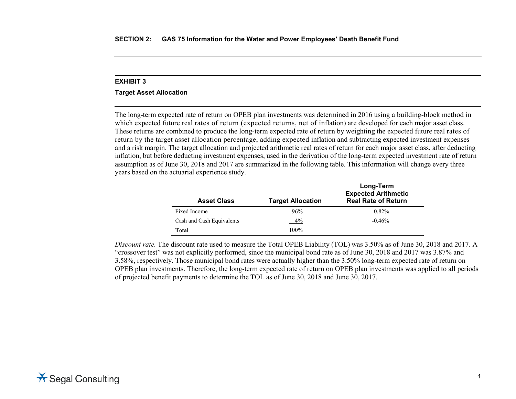## **Target Asset Allocation**

The long-term expected rate of return on OPEB plan investments was determined in 2016 using a building-block method in which expected future real rates of return (expected returns, net of inflation) are developed for each major asset class. These returns are combined to produce the long-term expected rate of return by weighting the expected future real rates of return by the target asset allocation percentage, adding expected inflation and subtracting expected investment expenses and a risk margin. The target allocation and projected arithmetic real rates of return for each major asset class, after deducting inflation, but before deducting investment expenses, used in the derivation of the long-term expected investment rate of return assumption as of June 30, 2018 and 2017 are summarized in the following table. This information will change every three years based on the actuarial experience study.

| <b>Asset Class</b>        | <b>Target Allocation</b> | Long-Term<br><b>Expected Arithmetic</b><br><b>Real Rate of Return</b> |
|---------------------------|--------------------------|-----------------------------------------------------------------------|
| Fixed Income              | 96%                      | $0.82\%$                                                              |
| Cash and Cash Equivalents | 4%                       | $-0.46%$                                                              |
| Total                     | 100%                     |                                                                       |

*Discount rate.* The discount rate used to measure the Total OPEB Liability (TOL) was 3.50% as of June 30, 2018 and 2017. A "crossover test" was not explicitly performed, since the municipal bond rate as of June 30, 2018 and 2017 was 3.87% and 3.58%, respectively. Those municipal bond rates were actually higher than the 3.50% long-term expected rate of return on OPEB plan investments. Therefore, the long-term expected rate of return on OPEB plan investments was applied to all periods of projected benefit payments to determine the TOL as of June 30, 2018 and June 30, 2017.

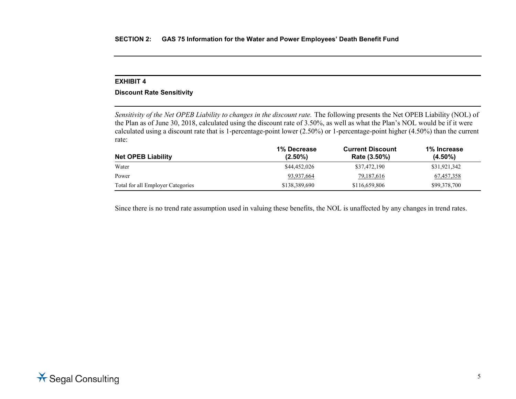## **Discount Rate Sensitivity**

*Sensitivity of the Net OPEB Liability to changes in the discount rate.* The following presents the Net OPEB Liability (NOL) of the Plan as of June 30, 2018, calculated using the discount rate of 3.50%, as well as what the Plan's NOL would be if it were calculated using a discount rate that is 1-percentage-point lower (2.50%) or 1-percentage-point higher (4.50%) than the current rate:

| <b>Net OPEB Liability</b>         | 1% Decrease<br>$(2.50\%)$ | <b>Current Discount</b><br>Rate (3.50%) | 1% Increase<br>$(4.50\%)$ |
|-----------------------------------|---------------------------|-----------------------------------------|---------------------------|
| Water                             | \$44,452,026              | \$37,472,190                            | \$31,921,342              |
| Power                             | 93,937,664                | 79, 187, 616                            | 67,457,358                |
| Total for all Employer Categories | \$138,389,690             | \$116,659,806                           | \$99,378,700              |

Since there is no trend rate assumption used in valuing these benefits, the NOL is unaffected by any changes in trend rates.

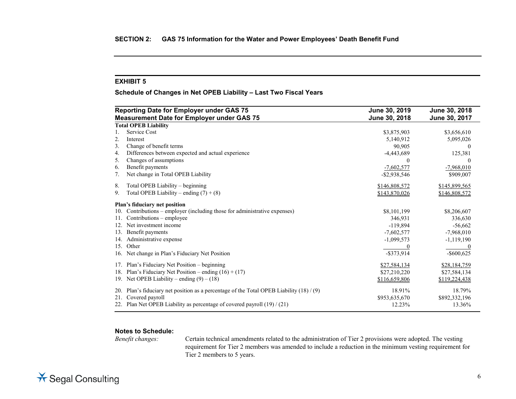**Schedule of Changes in Net OPEB Liability – Last Two Fiscal Years**

|     | <b>Reporting Date for Employer under GAS 75</b>                                        | June 30, 2019   | June 30, 2018 |
|-----|----------------------------------------------------------------------------------------|-----------------|---------------|
|     | <b>Measurement Date for Employer under GAS 75</b>                                      | June 30, 2018   | June 30, 2017 |
|     | <b>Total OPEB Liability</b>                                                            |                 |               |
| 1.  | Service Cost                                                                           | \$3,875,903     | \$3,656,610   |
| 2.  | Interest                                                                               | 5,140,912       | 5,095,026     |
| 3.  | Change of benefit terms                                                                | 90,905          |               |
| 4.  | Differences between expected and actual experience                                     | $-4,443,689$    | 125,381       |
| 5.  | Changes of assumptions                                                                 | $\theta$        | $\theta$      |
| 6.  | Benefit payments                                                                       | $-7,602,577$    | $-7,968,010$  |
| 7.  | Net change in Total OPEB Liability                                                     | $-$ \$2,938,546 | \$909,007     |
| 8.  | Total OPEB Liability - beginning                                                       | \$146,808,572   | \$145,899,565 |
| 9.  | Total OPEB Liability – ending $(7) + (8)$                                              | \$143,870,026   | \$146,808,572 |
|     | Plan's fiduciary net position                                                          |                 |               |
| 10. | Contributions – employer (including those for administrative expenses)                 | \$8,101,199     | \$8,206,607   |
| 11. | Contributions - employee                                                               | 346,931         | 336,630       |
| 12. | Net investment income                                                                  | $-119,894$      | $-56,662$     |
| 13. | Benefit payments                                                                       | $-7,602,577$    | $-7,968,010$  |
| 14. | Administrative expense                                                                 | $-1,099,573$    | $-1,119,190$  |
| 15. | Other                                                                                  |                 |               |
| 16. | Net change in Plan's Fiduciary Net Position                                            | $-$ \$373,914   | $-$ \$600,625 |
| 17. | Plan's Fiduciary Net Position – beginning                                              | \$27,584,134    | \$28,184,759  |
| 18. | Plan's Fiduciary Net Position – ending $(16) + (17)$                                   | \$27,210,220    | \$27,584,134  |
|     | 19. Net OPEB Liability – ending $(9) - (18)$                                           | \$116,659,806   | \$119,224,438 |
| 20. | Plan's fiduciary net position as a percentage of the Total OPEB Liability $(18) / (9)$ | 18.91%          | 18.79%        |
| 21. | Covered payroll                                                                        | \$953,635,670   | \$892,332,196 |
| 22. | Plan Net OPEB Liability as percentage of covered payroll (19) / (21)                   | 12.23%          | 13.36%        |

# **Notes to Schedule:**

Certain technical amendments related to the administration of Tier 2 provisions were adopted. The vesting requirement for Tier 2 members was amended to include a reduction in the minimum vesting requirement for Tier 2 members to 5 years.

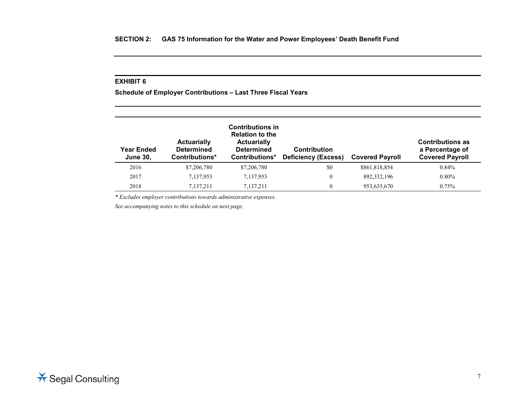**Schedule of Employer Contributions – Last Three Fiscal Years**

| Year Ended<br><b>June 30,</b> | <b>Actuarially</b><br><b>Determined</b><br>Contributions* | <b>Contributions in</b><br><b>Relation to the</b><br><b>Actuarially</b><br><b>Determined</b><br>Contributions* | <b>Contribution</b><br><b>Deficiency (Excess)</b> | <b>Covered Payroll</b> | <b>Contributions as</b><br>a Percentage of<br><b>Covered Payroll</b> |
|-------------------------------|-----------------------------------------------------------|----------------------------------------------------------------------------------------------------------------|---------------------------------------------------|------------------------|----------------------------------------------------------------------|
| 2016                          | \$7,206,780                                               | \$7,206,780                                                                                                    | \$0                                               | \$861,818,854          | $0.84\%$                                                             |
| 2017                          | 7,137,953                                                 | 7,137,953                                                                                                      | 0                                                 | 892, 332, 196          | $0.80\%$                                                             |
| 2018                          | 7.137.211                                                 | 7,137,211                                                                                                      | 0                                                 | 953,635,670            | 0.75%                                                                |

*\* Excludes employer contributions towards administrative expenses.*

*See accompanying notes to this schedule on next page.*

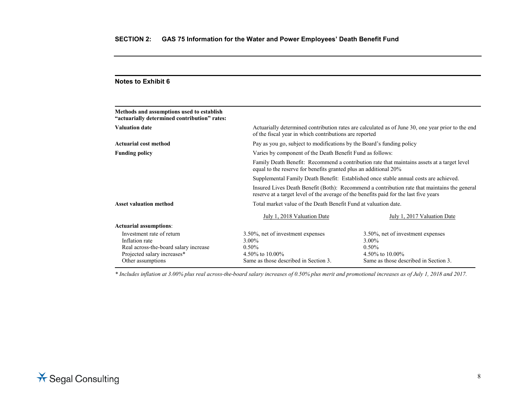| of the fiscal year in which contributions are reported                                                                                                          | Actuarially determined contribution rates are calculated as of June 30, one year prior to the end                    |  |
|-----------------------------------------------------------------------------------------------------------------------------------------------------------------|----------------------------------------------------------------------------------------------------------------------|--|
| Pay as you go, subject to modifications by the Board's funding policy                                                                                           |                                                                                                                      |  |
| Varies by component of the Death Benefit Fund as follows:                                                                                                       |                                                                                                                      |  |
| Family Death Benefit: Recommend a contribution rate that maintains assets at a target level<br>equal to the reserve for benefits granted plus an additional 20% |                                                                                                                      |  |
| Supplemental Family Death Benefit: Established once stable annual costs are achieved.                                                                           |                                                                                                                      |  |
| reserve at a target level of the average of the benefits paid for the last five years                                                                           | Insured Lives Death Benefit (Both): Recommend a contribution rate that maintains the general                         |  |
| Total market value of the Death Benefit Fund at valuation date.                                                                                                 |                                                                                                                      |  |
| July 1, 2018 Valuation Date                                                                                                                                     | July 1, 2017 Valuation Date                                                                                          |  |
|                                                                                                                                                                 |                                                                                                                      |  |
| 3.50%, net of investment expenses<br>3.00%<br>$0.50\%$<br>4.50\% to 10.00\%<br>Same as those described in Section 3.                                            | 3.50%, net of investment expenses<br>3.00%<br>$0.50\%$<br>4.50\% to 10.00\%<br>Same as those described in Section 3. |  |
|                                                                                                                                                                 |                                                                                                                      |  |

*\* Includes inflation at 3.00% plus real across-the-board salary increases of 0.50% plus merit and promotional increases as of July 1, 2018 and 2017.*

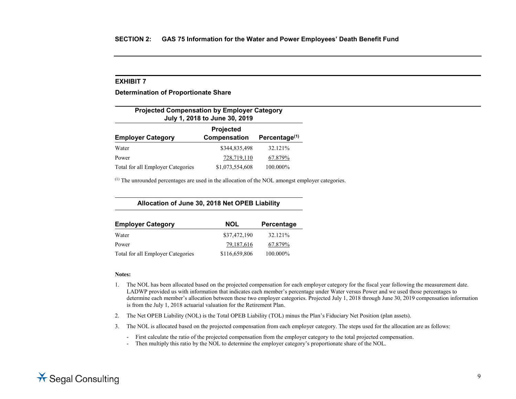**Determination of Proportionate Share**

| <b>Projected Compensation by Employer Category</b><br>July 1, 2018 to June 30, 2019       |                 |          |  |  |
|-------------------------------------------------------------------------------------------|-----------------|----------|--|--|
| <b>Projected</b><br>Compensation<br>Percentage <sup>(1)</sup><br><b>Employer Category</b> |                 |          |  |  |
| Water                                                                                     | \$344,835,498   | 32.121%  |  |  |
| Power                                                                                     | 728,719,110     | 67.879%  |  |  |
| Total for all Employer Categories                                                         | \$1,073,554,608 | 100.000% |  |  |

 $<sup>(1)</sup>$  The unrounded percentages are used in the allocation of the NOL amongst employer categories.</sup>

**Allocation of June 30, 2018 Net OPEB Liability**

| <b>Employer Category</b>          | <b>NOL</b>    | Percentage |
|-----------------------------------|---------------|------------|
| Water                             | \$37,472,190  | 32.121%    |
| Power                             | 79,187,616    | 67.879%    |
| Total for all Employer Categories | \$116,659,806 | 100.000%   |

### **Notes:**

- 1. The NOL has been allocated based on the projected compensation for each employer category for the fiscal year following the measurement date. LADWP provided us with information that indicates each member's percentage under Water versus Power and we used those percentages to determine each member's allocation between these two employer categories. Projected July 1, 2018 through June 30, 2019 compensation information is from the July 1, 2018 actuarial valuation for the Retirement Plan.
- 2. The Net OPEB Liability (NOL) is the Total OPEB Liability (TOL) minus the Plan's Fiduciary Net Position (plan assets).
- 3. The NOL is allocated based on the projected compensation from each employer category. The steps used for the allocation are as follows:

- First calculate the ratio of the projected compensation from the employer category to the total projected compensation.

- Then multiply this ratio by the NOL to determine the employer category's proportionate share of the NOL.

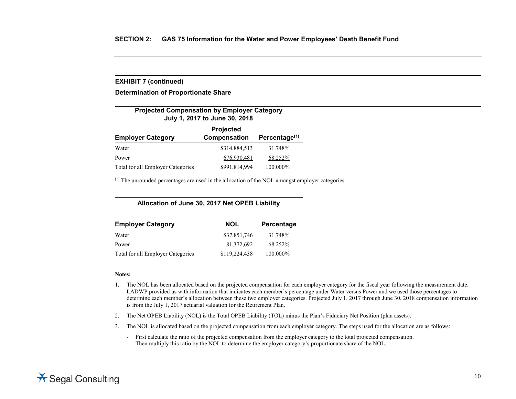## **EXHIBIT 7 (continued)**

**Determination of Proportionate Share**

| <b>Projected Compensation by Employer Category</b><br>July 1, 2017 to June 30, 2018 |               |          |  |  |
|-------------------------------------------------------------------------------------|---------------|----------|--|--|
| Projected<br>Compensation<br>Percentage $(1)$<br><b>Employer Category</b>           |               |          |  |  |
| Water                                                                               | \$314,884,513 | 31.748%  |  |  |
| Power                                                                               | 676,930,481   | 68.252%  |  |  |
| Total for all Employer Categories                                                   | \$991,814,994 | 100.000% |  |  |

 $<sup>(1)</sup>$  The unrounded percentages are used in the allocation of the NOL amongst employer categories.</sup>

**Allocation of June 30, 2017 Net OPEB Liability**

| <b>Employer Category</b>          | <b>NOL</b>    | Percentage |
|-----------------------------------|---------------|------------|
| Water                             | \$37,851,746  | 31.748%    |
| Power                             | 81,372,692    | 68.252%    |
| Total for all Employer Categories | \$119,224,438 | 100.000%   |

### **Notes:**

- 1. The NOL has been allocated based on the projected compensation for each employer category for the fiscal year following the measurement date. LADWP provided us with information that indicates each member's percentage under Water versus Power and we used those percentages to determine each member's allocation between these two employer categories. Projected July 1, 2017 through June 30, 2018 compensation information is from the July 1, 2017 actuarial valuation for the Retirement Plan.
- 2. The Net OPEB Liability (NOL) is the Total OPEB Liability (TOL) minus the Plan's Fiduciary Net Position (plan assets).
- 3. The NOL is allocated based on the projected compensation from each employer category. The steps used for the allocation are as follows:

- First calculate the ratio of the projected compensation from the employer category to the total projected compensation.

- Then multiply this ratio by the NOL to determine the employer category's proportionate share of the NOL.

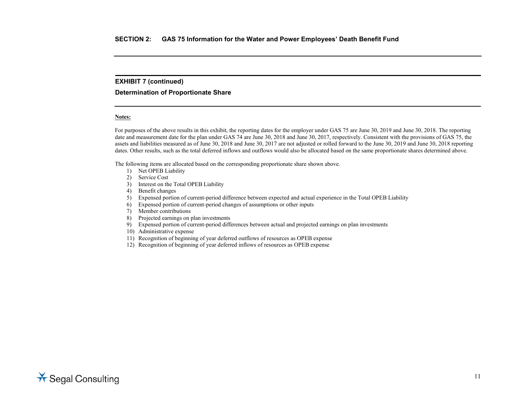## **EXHIBIT 7 (continued)**

## **Determination of Proportionate Share**

### **Notes:**

For purposes of the above results in this exhibit, the reporting dates for the employer under GAS 75 are June 30, 2019 and June 30, 2018. The reporting date and measurement date for the plan under GAS 74 are June 30, 2018 and June 30, 2017, respectively. Consistent with the provisions of GAS 75, the assets and liabilities measured as of June 30, 2018 and June 30, 2017 are not adjusted or rolled forward to the June 30, 2019 and June 30, 2018 reporting dates. Other results, such as the total deferred inflows and outflows would also be allocated based on the same proportionate shares determined above.

The following items are allocated based on the corresponding proportionate share shown above.

- 1) Net OPEB Liability
- 2) Service Cost
- 3) Interest on the Total OPEB Liability
- 4) Benefit changes
- 5) Expensed portion of current-period difference between expected and actual experience in the Total OPEB Liability
- 6) Expensed portion of current-period changes of assumptions or other inputs
- 7) Member contributions
- 8) Projected earnings on plan investments
- 9) Expensed portion of current-period differences between actual and projected earnings on plan investments
- 10) Administrative expense
- 11) Recognition of beginning of year deferred outflows of resources as OPEB expense
- 12) Recognition of beginning of year deferred inflows of resources as OPEB expense

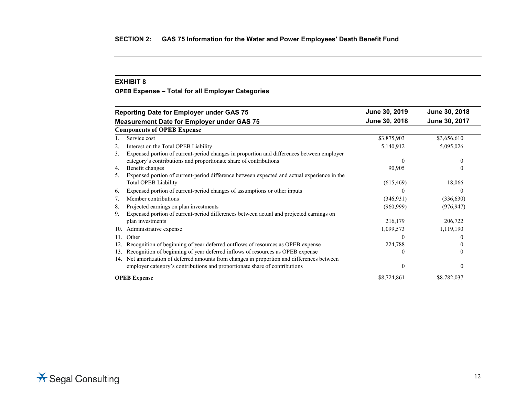**OPEB Expense – Total for all Employer Categories**

|     | <b>Reporting Date for Employer under GAS 75</b>                                             | June 30, 2019 | June 30, 2018 |
|-----|---------------------------------------------------------------------------------------------|---------------|---------------|
|     | <b>Measurement Date for Employer under GAS 75</b>                                           | June 30, 2018 | June 30, 2017 |
|     | <b>Components of OPEB Expense</b>                                                           |               |               |
|     | Service cost                                                                                | \$3,875,903   | \$3,656,610   |
|     | Interest on the Total OPEB Liability                                                        | 5,140,912     | 5,095,026     |
| 3.  | Expensed portion of current-period changes in proportion and differences between employer   |               |               |
|     | category's contributions and proportionate share of contributions                           |               |               |
| 4.  | Benefit changes                                                                             | 90,905        | $\theta$      |
| 5.  | Expensed portion of current-period difference between expected and actual experience in the |               |               |
|     | <b>Total OPEB Liability</b>                                                                 | (615, 469)    | 18,066        |
| 6.  | Expensed portion of current-period changes of assumptions or other inputs                   | 0             | $\theta$      |
|     | Member contributions                                                                        | (346, 931)    | (336, 630)    |
| 8.  | Projected earnings on plan investments                                                      | (960, 999)    | (976, 947)    |
| 9.  | Expensed portion of current-period differences between actual and projected earnings on     |               |               |
|     | plan investments                                                                            | 216,179       | 206,722       |
| 10. | Administrative expense                                                                      | 1,099,573     | 1,119,190     |
| 11. | Other                                                                                       | 0             | $\theta$      |
| 12. | Recognition of beginning of year deferred outflows of resources as OPEB expense             | 224,788       |               |
| 13. | Recognition of beginning of year deferred inflows of resources as OPEB expense              | C             |               |
| 14. | Net amortization of deferred amounts from changes in proportion and differences between     |               |               |
|     | employer category's contributions and proportionate share of contributions                  |               | 0             |
|     | <b>OPEB</b> Expense                                                                         | \$8,724,861   | \$8,782,037   |

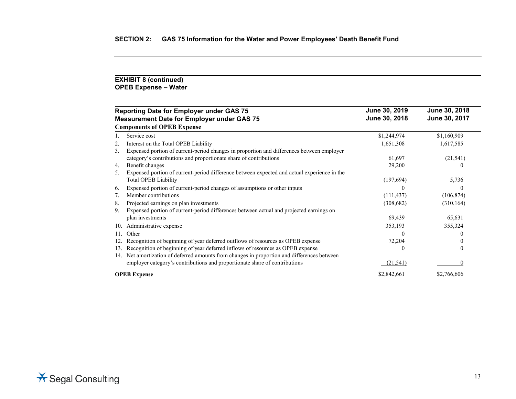## **EXHIBIT 8 (continued) OPEB Expense – Water**

|     | <b>Reporting Date for Employer under GAS 75</b>                                             | June 30, 2019 | June 30, 2018 |
|-----|---------------------------------------------------------------------------------------------|---------------|---------------|
|     | <b>Measurement Date for Employer under GAS 75</b>                                           | June 30, 2018 | June 30, 2017 |
|     | <b>Components of OPEB Expense</b>                                                           |               |               |
|     | Service cost                                                                                | \$1,244,974   | \$1,160,909   |
| 2.  | Interest on the Total OPEB Liability                                                        | 1,651,308     | 1,617,585     |
| 3.  | Expensed portion of current-period changes in proportion and differences between employer   |               |               |
|     | category's contributions and proportionate share of contributions                           | 61,697        | (21, 541)     |
| 4.  | Benefit changes                                                                             | 29,200        |               |
| 5.  | Expensed portion of current-period difference between expected and actual experience in the |               |               |
|     | <b>Total OPEB Liability</b>                                                                 | (197, 694)    | 5,736         |
| 6.  | Expensed portion of current-period changes of assumptions or other inputs                   |               |               |
| 7.  | Member contributions                                                                        | (111, 437)    | (106, 874)    |
| 8.  | Projected earnings on plan investments                                                      | (308, 682)    | (310, 164)    |
| 9.  | Expensed portion of current-period differences between actual and projected earnings on     |               |               |
|     | plan investments                                                                            | 69,439        | 65,631        |
| 10. | Administrative expense                                                                      | 353,193       | 355,324       |
| 11. | Other                                                                                       |               |               |
|     | Recognition of beginning of year deferred outflows of resources as OPEB expense             | 72,204        |               |
| 13. | Recognition of beginning of year deferred inflows of resources as OPEB expense              |               |               |
| 14. | Net amortization of deferred amounts from changes in proportion and differences between     |               |               |
|     | employer category's contributions and proportionate share of contributions                  | (21, 541)     |               |
|     | <b>OPEB</b> Expense                                                                         | \$2,842,661   | \$2,766,606   |

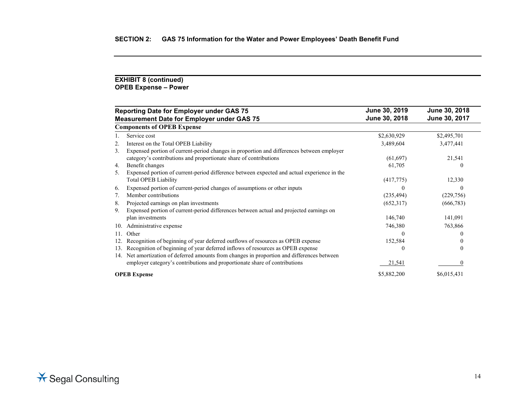## **EXHIBIT 8 (continued) OPEB Expense – Power**

|     | <b>Reporting Date for Employer under GAS 75</b>                                             | June 30, 2019 | June 30, 2018 |
|-----|---------------------------------------------------------------------------------------------|---------------|---------------|
|     | <b>Measurement Date for Employer under GAS 75</b>                                           | June 30, 2018 | June 30, 2017 |
|     | <b>Components of OPEB Expense</b>                                                           |               |               |
|     | Service cost                                                                                | \$2,630,929   | \$2,495,701   |
| 2.  | Interest on the Total OPEB Liability                                                        | 3,489,604     | 3,477,441     |
| 3.  | Expensed portion of current-period changes in proportion and differences between employer   |               |               |
|     | category's contributions and proportionate share of contributions                           | (61, 697)     | 21,541        |
| 4.  | Benefit changes                                                                             | 61,705        |               |
| 5.  | Expensed portion of current-period difference between expected and actual experience in the |               |               |
|     | <b>Total OPEB Liability</b>                                                                 | (417,775)     | 12,330        |
| 6.  | Expensed portion of current-period changes of assumptions or other inputs                   |               |               |
| 7.  | Member contributions                                                                        | (235, 494)    | (229,756)     |
| 8.  | Projected earnings on plan investments                                                      | (652,317)     | (666, 783)    |
| 9.  | Expensed portion of current-period differences between actual and projected earnings on     |               |               |
|     | plan investments                                                                            | 146,740       | 141,091       |
| 10. | Administrative expense                                                                      | 746,380       | 763,866       |
| 11. | Other                                                                                       |               |               |
|     | Recognition of beginning of year deferred outflows of resources as OPEB expense             | 152,584       |               |
| 13. | Recognition of beginning of year deferred inflows of resources as OPEB expense              |               |               |
| 14. | Net amortization of deferred amounts from changes in proportion and differences between     |               |               |
|     | employer category's contributions and proportionate share of contributions                  | 21,541        |               |
|     | <b>OPEB</b> Expense                                                                         | \$5,882,200   | \$6,015,431   |

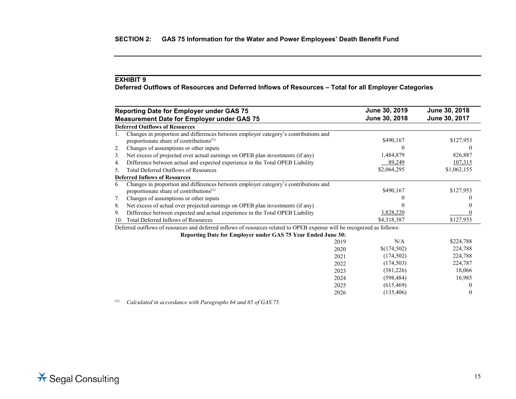**Deferred Outflows of Resources and Deferred Inflows of Resources – Total for all Employer Categories**

|     | <b>Reporting Date for Employer under GAS 75</b>                                                                                            | June 30, 2019 | June 30, 2018 |
|-----|--------------------------------------------------------------------------------------------------------------------------------------------|---------------|---------------|
|     | <b>Measurement Date for Employer under GAS 75</b>                                                                                          | June 30, 2018 | June 30, 2017 |
|     | <b>Deferred Outflows of Resources</b>                                                                                                      |               |               |
|     | Changes in proportion and differences between employer category's contributions and<br>proportionate share of contributions <sup>(1)</sup> | \$490,167     | \$127,953     |
| 2.  | Changes of assumptions or other inputs                                                                                                     |               |               |
| 3.  | Net excess of projected over actual earnings on OPEB plan investments (if any)                                                             | 1,484,879     | 826,887       |
| 4.  | Difference between actual and expected experience in the Total OPEB Liability                                                              | 89,249        | 107,315       |
| 5.  | <b>Total Deferred Outflows of Resources</b>                                                                                                | \$2,064,295   | \$1,062,155   |
|     | <b>Deferred Inflows of Resources</b>                                                                                                       |               |               |
| 6.  | Changes in proportion and differences between employer category's contributions and<br>proportionate share of contributions <sup>(1)</sup> | \$490,167     | \$127,953     |
| 7.  | Changes of assumptions or other inputs                                                                                                     |               |               |
| 8.  | Net excess of actual over projected earnings on OPEB plan investments (if any)                                                             |               |               |
| 9.  | Difference between expected and actual experience in the Total OPEB Liability                                                              | 3,828,220     |               |
| 10. | Total Deferred Inflows of Resources                                                                                                        | \$4,318,387   | \$127,953     |
|     | Deferred outflows of resources and deferred inflows of resources related to OPEB expense will be recognized as follows:                    |               |               |
|     | Reporting Date for Employer under GAS 75 Year Ended June 30:                                                                               |               |               |
|     | 2019                                                                                                                                       | N/A           | \$224,788     |
|     | 2020                                                                                                                                       | \$(174,502)   | 224,788       |
|     | 2021                                                                                                                                       | (174, 502)    | 224,788       |
|     | 2022                                                                                                                                       | (174, 503)    | 224,787       |
|     | 2023                                                                                                                                       | (381,226)     | 18,066        |
|     | 2024                                                                                                                                       | (598, 484)    | 16,985        |
|     | 2025                                                                                                                                       | (615, 469)    |               |
|     | 2026                                                                                                                                       | (135, 406)    |               |

(1) *Calculated in accordance with Paragraphs 64 and 65 of GAS 75.*

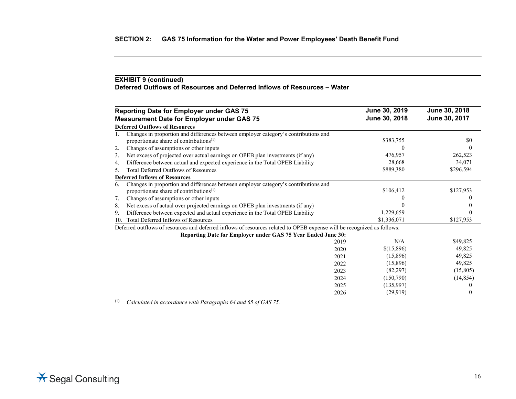## **EXHIBIT 9 (continued) Deferred Outflows of Resources and Deferred Inflows of Resources – Water**

|     | <b>Reporting Date for Employer under GAS 75</b>                                                                                            | June 30, 2019 | June 30, 2018 |
|-----|--------------------------------------------------------------------------------------------------------------------------------------------|---------------|---------------|
|     | <b>Measurement Date for Employer under GAS 75</b>                                                                                          | June 30, 2018 | June 30, 2017 |
|     | <b>Deferred Outflows of Resources</b>                                                                                                      |               |               |
|     | Changes in proportion and differences between employer category's contributions and<br>proportionate share of contributions <sup>(1)</sup> | \$383,755     | \$0           |
| 2.  | Changes of assumptions or other inputs                                                                                                     |               | $\theta$      |
| 3.  | Net excess of projected over actual earnings on OPEB plan investments (if any)                                                             | 476,957       | 262,523       |
| 4.  | Difference between actual and expected experience in the Total OPEB Liability                                                              | 28,668        | 34,071        |
| 5.  | <b>Total Deferred Outflows of Resources</b>                                                                                                | \$889,380     | \$296,594     |
|     | <b>Deferred Inflows of Resources</b>                                                                                                       |               |               |
| 6.  | Changes in proportion and differences between employer category's contributions and                                                        |               |               |
|     | proportionate share of contributions <sup>(1)</sup>                                                                                        | \$106,412     | \$127,953     |
| 7.  | Changes of assumptions or other inputs                                                                                                     |               |               |
| 8.  | Net excess of actual over projected earnings on OPEB plan investments (if any)                                                             |               |               |
| 9.  | Difference between expected and actual experience in the Total OPEB Liability                                                              | 1,229,659     |               |
| 10. | Total Deferred Inflows of Resources                                                                                                        | \$1,336,071   | \$127,953     |
|     | Deferred outflows of resources and deferred inflows of resources related to OPEB expense will be recognized as follows:                    |               |               |
|     | Reporting Date for Employer under GAS 75 Year Ended June 30:                                                                               |               |               |
|     | 2019                                                                                                                                       | N/A           | \$49,825      |
|     | 2020                                                                                                                                       | \$(15,896)    | 49,825        |
|     | 2021                                                                                                                                       | (15,896)      | 49,825        |
|     | 2022                                                                                                                                       | (15,896)      | 49,825        |
|     | 2023                                                                                                                                       | (82, 297)     | (15,805)      |
|     | 2024                                                                                                                                       | (150,790)     | (14, 854)     |
|     | 2025                                                                                                                                       | (135,997)     |               |
|     | 2026                                                                                                                                       | (29,919)      | $\theta$      |

(1) *Calculated in accordance with Paragraphs 64 and 65 of GAS 75.*

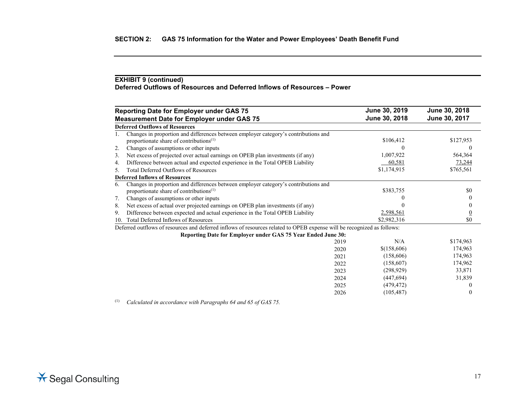## **EXHIBIT 9 (continued) Deferred Outflows of Resources and Deferred Inflows of Resources – Power**

|     | <b>Reporting Date for Employer under GAS 75</b>                                                                                            |      | June 30, 2019 | June 30, 2018  |
|-----|--------------------------------------------------------------------------------------------------------------------------------------------|------|---------------|----------------|
|     | <b>Measurement Date for Employer under GAS 75</b>                                                                                          |      | June 30, 2018 | June 30, 2017  |
|     | <b>Deferred Outflows of Resources</b>                                                                                                      |      |               |                |
|     | Changes in proportion and differences between employer category's contributions and<br>proportionate share of contributions <sup>(1)</sup> |      | \$106,412     | \$127,953      |
| 2.  | Changes of assumptions or other inputs                                                                                                     |      |               | $\theta$       |
| 3.  | Net excess of projected over actual earnings on OPEB plan investments (if any)                                                             |      | 1,007,922     | 564,364        |
| 4.  | Difference between actual and expected experience in the Total OPEB Liability                                                              |      | 60,581        | 73,244         |
| 5.  | <b>Total Deferred Outflows of Resources</b>                                                                                                |      | \$1,174,915   | \$765,561      |
|     | <b>Deferred Inflows of Resources</b>                                                                                                       |      |               |                |
| 6.  | Changes in proportion and differences between employer category's contributions and<br>proportionate share of contributions $(1)$          |      | \$383,755     | \$0            |
| 7.  | Changes of assumptions or other inputs                                                                                                     |      |               | $\theta$       |
|     |                                                                                                                                            |      |               |                |
| 8.  | Net excess of actual over projected earnings on OPEB plan investments (if any)                                                             |      |               |                |
| 9.  | Difference between expected and actual experience in the Total OPEB Liability                                                              |      | 2,598,561     | $\overline{0}$ |
| 10. | Total Deferred Inflows of Resources                                                                                                        |      | \$2,982,316   | \$0            |
|     | Deferred outflows of resources and deferred inflows of resources related to OPEB expense will be recognized as follows:                    |      |               |                |
|     | Reporting Date for Employer under GAS 75 Year Ended June 30:                                                                               |      |               |                |
|     |                                                                                                                                            | 2019 | N/A           | \$174,963      |
|     |                                                                                                                                            | 2020 | \$(158,606)   | 174,963        |
|     |                                                                                                                                            | 2021 | (158,606)     | 174,963        |
|     |                                                                                                                                            | 2022 | (158,607)     | 174,962        |
|     |                                                                                                                                            | 2023 | (298, 929)    | 33,871         |
|     |                                                                                                                                            | 2024 | (447, 694)    | 31,839         |
|     |                                                                                                                                            | 2025 | (479, 472)    |                |
|     |                                                                                                                                            | 2026 | (105, 487)    | $\theta$       |

(1) *Calculated in accordance with Paragraphs 64 and 65 of GAS 75.*

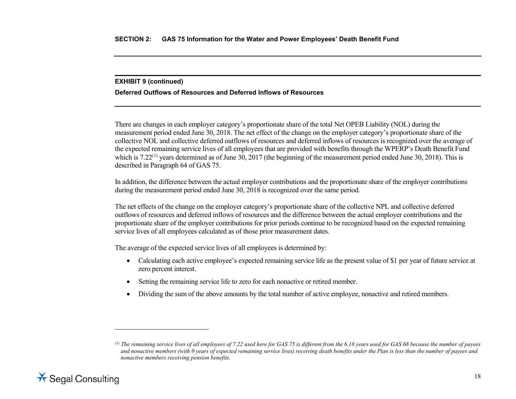## <span id="page-26-0"></span>**EXHIBIT 9 (continued)**

## **Deferred Outflows of Resources and Deferred Inflows of Resources**

There are changes in each employer category's proportionate share of the total Net OPEB Liability (NOL) during the measurement period ended June 30, 2018. The net effect of the change on the employer category's proportionate share of the collective NOL and collective deferred outflows of resources and deferred inflows of resources is recognized over the average of the expected remaining service lives of all employees that are provided with benefits through the WPERP's Death Benefit Fund which is  $7.22^{(1)}$  $7.22^{(1)}$  $7.22^{(1)}$  years determined as of June  $30$ ,  $2017$  (the beginning of the measurement period ended June  $30$ ,  $2018$ ). This is described in Paragraph 64 of GAS 75.

In addition, the difference between the actual employer contributions and the proportionate share of the employer contributions during the measurement period ended June 30, 2018 is recognized over the same period.

The net effects of the change on the employer category's proportionate share of the collective NPL and collective deferred outflows of resources and deferred inflows of resources and the difference between the actual employer contributions and the proportionate share of the employer contributions for prior periods continue to be recognized based on the expected remaining service lives of all employees calculated as of those prior measurement dates.

The average of the expected service lives of all employees is determined by:

- Calculating each active employee's expected remaining service life as the present value of \$1 per year of future service at zero percent interest.
- Setting the remaining service life to zero for each nonactive or retired member.
- Dividing the sum of the above amounts by the total number of active employee, nonactive and retired members.

*<sup>(1)</sup> The remaining service lives of all employees of 7.22 used here for GAS 75 is different from the 6.18 years used for GAS 68 because the number of payees and nonactive members (with 0 years of expected remaining service lives) receiving death benefits under the Plan is less than the number of payees and nonactive members receiving pension benefits.*



 $\overline{a}$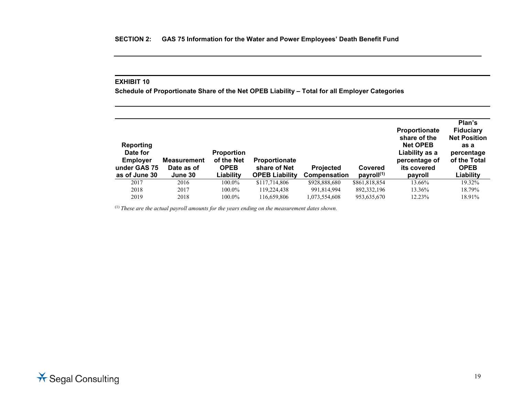**Schedule of Proportionate Share of the Net OPEB Liability – Total for all Employer Categories**

| <b>Reporting</b><br>Date for<br><b>Employer</b><br>under GAS 75<br>as of June 30 | <b>Measurement</b><br>Date as of<br>June 30 | <b>Proportion</b><br>of the Net<br><b>OPEB</b><br>Liability | <b>Proportionate</b><br>share of Net<br><b>OPEB Liability</b> | <b>Projected</b><br>Compensation | Covered<br>payroll <sup>(1)</sup> | <b>Proportionate</b><br>share of the<br><b>Net OPEB</b><br>Liability as a<br>percentage of<br>its covered<br>payroll | Plan's<br><b>Fiduciary</b><br><b>Net Position</b><br>as a<br>percentage<br>of the Total<br><b>OPEB</b><br>Liability |
|----------------------------------------------------------------------------------|---------------------------------------------|-------------------------------------------------------------|---------------------------------------------------------------|----------------------------------|-----------------------------------|----------------------------------------------------------------------------------------------------------------------|---------------------------------------------------------------------------------------------------------------------|
| 2017                                                                             | 2016                                        | 100.0%                                                      | \$117,714,806                                                 | \$928,888,680                    | \$861,818,854                     | 13.66%                                                                                                               | 19.32%                                                                                                              |
| 2018                                                                             | 2017                                        | 100.0%                                                      | 119,224,438                                                   | 991,814,994                      | 892, 332, 196                     | 13.36%                                                                                                               | 18.79%                                                                                                              |
| 2019                                                                             | 2018                                        | 100.0%                                                      | 116,659,806                                                   | 1,073,554,608                    | 953,635,670                       | 12.23%                                                                                                               | 18.91%                                                                                                              |

(1) *These are the actual payroll amounts for the years ending on the measurement dates shown.*

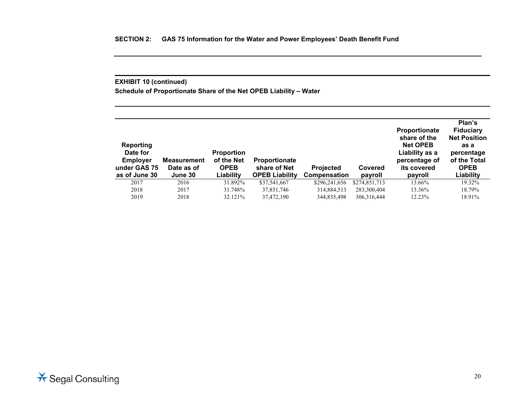## **EXHIBIT 10 (continued)**

**Schedule of Proportionate Share of the Net OPEB Liability – Water**

| Reporting<br>Date for<br><b>Employer</b><br>under GAS 75<br>as of June 30 | <b>Measurement</b><br>Date as of<br>June 30 | <b>Proportion</b><br>of the Net<br><b>OPEB</b><br>Liability | <b>Proportionate</b><br>share of Net<br><b>OPEB Liability</b> | <b>Projected</b><br><b>Compensation</b> | Covered<br>payroll | <b>Proportionate</b><br>share of the<br><b>Net OPEB</b><br>Liability as a<br>percentage of<br>its covered<br>payroll | Plan's<br><b>Fiduciary</b><br><b>Net Position</b><br>as a<br>percentage<br>of the Total<br><b>OPEB</b><br>Liability |
|---------------------------------------------------------------------------|---------------------------------------------|-------------------------------------------------------------|---------------------------------------------------------------|-----------------------------------------|--------------------|----------------------------------------------------------------------------------------------------------------------|---------------------------------------------------------------------------------------------------------------------|
| 2017                                                                      | 2016                                        | 31.892%                                                     | \$37,541,667                                                  | \$296,241,656                           | \$274,851,713      | 13.66%                                                                                                               | 19.32%                                                                                                              |
| 2018                                                                      | 2017                                        | 31.748%                                                     | 37,851,746                                                    | 314,884,513                             | 283,300,404        | 13.36%                                                                                                               | 18.79%                                                                                                              |
| 2019                                                                      | 2018                                        | 32.121%                                                     | 37,472,190                                                    | 344,835,498                             | 306, 316, 444      | 12.23%                                                                                                               | 18.91%                                                                                                              |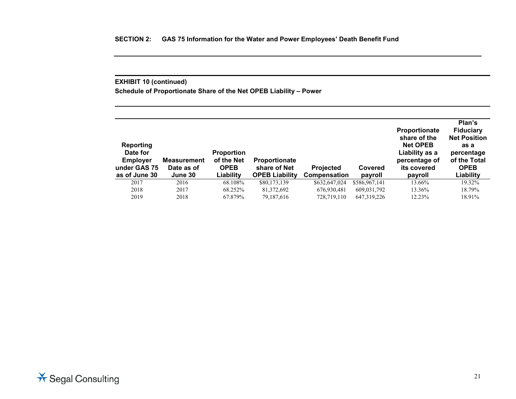## **EXHIBIT 10 (continued)**

**Schedule of Proportionate Share of the Net OPEB Liability – Power**

| <b>Reporting</b><br>Date for<br><b>Employer</b><br>under GAS 75<br>as of June 30 | Measurement<br>Date as of<br>June 30 | <b>Proportion</b><br>of the Net<br><b>OPEB</b><br>Liability | <b>Proportionate</b><br>share of Net<br><b>OPEB Liability</b> | <b>Projected</b><br><b>Compensation</b> | Covered<br>payroll | <b>Proportionate</b><br>share of the<br><b>Net OPEB</b><br>Liability as a<br>percentage of<br>its covered<br>payroll | Plan's<br><b>Fiduciary</b><br><b>Net Position</b><br>as a<br>percentage<br>of the Total<br><b>OPEB</b><br>Liability |
|----------------------------------------------------------------------------------|--------------------------------------|-------------------------------------------------------------|---------------------------------------------------------------|-----------------------------------------|--------------------|----------------------------------------------------------------------------------------------------------------------|---------------------------------------------------------------------------------------------------------------------|
| 2017                                                                             | 2016                                 | 68.108%                                                     | \$80,173,139                                                  | \$632,647,024                           | \$586,967,141      | 13.66%                                                                                                               | 19.32%                                                                                                              |
| 2018                                                                             | 2017                                 | 68.252%                                                     | 81,372,692                                                    | 676,930,481                             | 609,031,792        | 13.36%                                                                                                               | 18.79%                                                                                                              |
| 2019                                                                             | 2018                                 | 67.879%                                                     | 79.187.616                                                    | 728,719,110                             | 647,319,226        | 12.23%                                                                                                               | 18.91%                                                                                                              |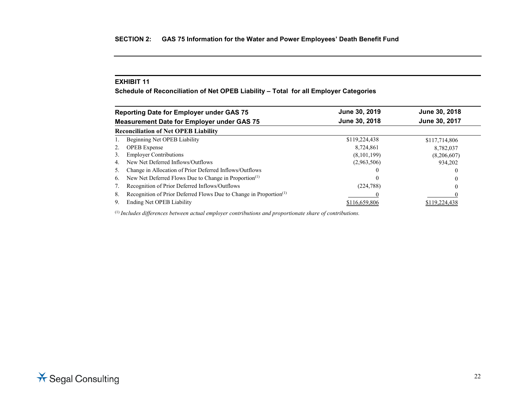**Schedule of Reconciliation of Net OPEB Liability – Total for all Employer Categories**

| <b>Reporting Date for Employer under GAS 75</b>                                      | June 30, 2019 | June 30, 2018 |
|--------------------------------------------------------------------------------------|---------------|---------------|
| <b>Measurement Date for Employer under GAS 75</b>                                    | June 30, 2018 | June 30, 2017 |
| <b>Reconciliation of Net OPEB Liability</b>                                          |               |               |
| Beginning Net OPEB Liability                                                         | \$119,224,438 | \$117,714,806 |
| <b>OPEB</b> Expense<br>2.                                                            | 8,724,861     | 8,782,037     |
| <b>Employer Contributions</b><br>3.                                                  | (8,101,199)   | (8,206,607)   |
| New Net Deferred Inflows/Outflows<br>4.                                              | (2,963,506)   | 934,202       |
| Change in Allocation of Prior Deferred Inflows/Outflows<br>⊃.                        |               | $\theta$      |
| New Net Deferred Flows Due to Change in Proportion <sup>(1)</sup><br>6.              |               | $\theta$      |
| Recognition of Prior Deferred Inflows/Outflows                                       | (224, 788)    | $\theta$      |
| Recognition of Prior Deferred Flows Due to Change in Proportion <sup>(1)</sup><br>8. |               |               |
| Ending Net OPEB Liability<br>9.                                                      | \$116,659,806 | \$119,224,438 |

(1) *Includes differences between actual employer contributions and proportionate share of contributions.*

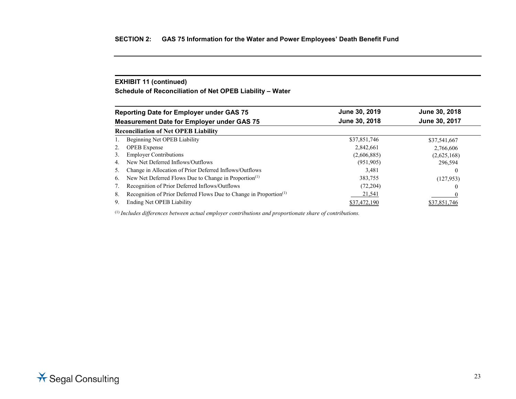## **EXHIBIT 11 (continued)**

**Schedule of Reconciliation of Net OPEB Liability – Water**

| <b>Reporting Date for Employer under GAS 75</b>                                      | June 30, 2019 | June 30, 2018 |
|--------------------------------------------------------------------------------------|---------------|---------------|
| <b>Measurement Date for Employer under GAS 75</b>                                    | June 30, 2018 | June 30, 2017 |
| <b>Reconciliation of Net OPEB Liability</b>                                          |               |               |
| Beginning Net OPEB Liability                                                         | \$37,851,746  | \$37,541,667  |
| <b>OPEB</b> Expense<br>2.                                                            | 2,842,661     | 2,766,606     |
| <b>Employer Contributions</b><br>3.                                                  | (2,606,885)   | (2,625,168)   |
| New Net Deferred Inflows/Outflows<br>4.                                              | (951, 905)    | 296,594       |
| Change in Allocation of Prior Deferred Inflows/Outflows<br>$\mathcal{L}$ .           | 3.481         |               |
| New Net Deferred Flows Due to Change in Proportion <sup>(1)</sup><br>6.              | 383,755       | (127, 953)    |
| Recognition of Prior Deferred Inflows/Outflows                                       | (72, 204)     |               |
| Recognition of Prior Deferred Flows Due to Change in Proportion <sup>(1)</sup><br>8. | 21,541        |               |
| Ending Net OPEB Liability<br>9.                                                      | \$37,472,190  | \$37,851,746  |

(1) *Includes differences between actual employer contributions and proportionate share of contributions.*

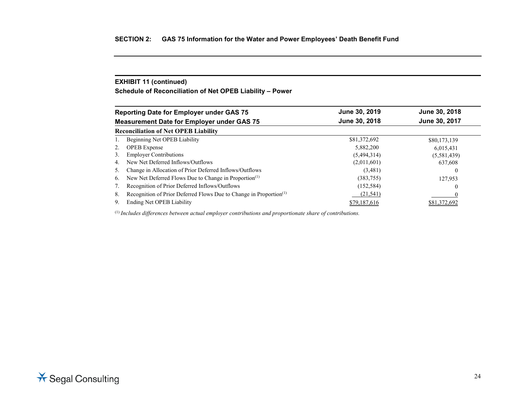## **EXHIBIT 11 (continued)**

**Schedule of Reconciliation of Net OPEB Liability – Power**

|                 | <b>Reporting Date for Employer under GAS 75</b>                                | June 30, 2019 | June 30, 2018 |
|-----------------|--------------------------------------------------------------------------------|---------------|---------------|
|                 | <b>Measurement Date for Employer under GAS 75</b>                              | June 30, 2018 | June 30, 2017 |
|                 | <b>Reconciliation of Net OPEB Liability</b>                                    |               |               |
|                 | Beginning Net OPEB Liability                                                   | \$81,372,692  | \$80,173,139  |
| 2.              | <b>OPEB</b> Expense                                                            | 5.882,200     | 6,015,431     |
| 3.              | <b>Employer Contributions</b>                                                  | (5,494,314)   | (5,581,439)   |
| 4.              | New Net Deferred Inflows/Outflows                                              | (2,011,601)   | 637,608       |
| $\mathcal{L}$ . | Change in Allocation of Prior Deferred Inflows/Outflows                        | (3,481)       |               |
| 6.              | New Net Deferred Flows Due to Change in Proportion <sup>(1)</sup>              | (383,755)     | 127,953       |
|                 | Recognition of Prior Deferred Inflows/Outflows                                 | (152, 584)    |               |
| 8.              | Recognition of Prior Deferred Flows Due to Change in Proportion <sup>(1)</sup> | (21, 541)     |               |
| 9.              | Ending Net OPEB Liability                                                      | \$79,187,616  | \$81.372.692  |

(1) *Includes differences between actual employer contributions and proportionate share of contributions.*

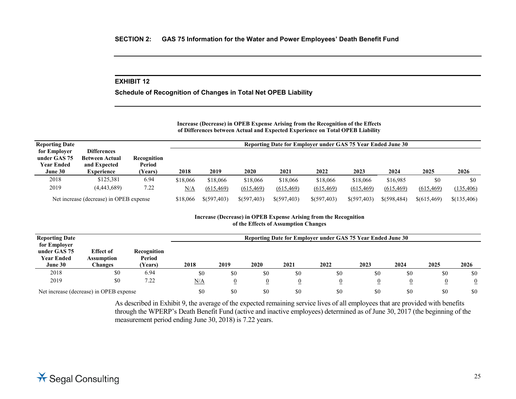**Schedule of Recognition of Changes in Total Net OPEB Liability**

**Increase (Decrease) in OPEB Expense Arising from the Recognition of the Effects of Differences between Actual and Expected Experience on Total OPEB Liability**

| <b>Reporting Date</b>             |                                         |                       |            | Reporting Date for Employer under GAS 75 Year Ended June 30 |             |             |             |             |               |             |             |  |
|-----------------------------------|-----------------------------------------|-----------------------|------------|-------------------------------------------------------------|-------------|-------------|-------------|-------------|---------------|-------------|-------------|--|
| for Employer                      | <b>Differences</b>                      |                       |            |                                                             |             |             |             |             |               |             |             |  |
| under GAS 75<br><b>Year Ended</b> | <b>Between Actual</b><br>and Expected   | Recognition<br>Period |            |                                                             |             |             |             |             |               |             |             |  |
| June 30                           | <b>Experience</b>                       | (Years)               | 2018       | 2019                                                        | 2020        | 2021        | 2022        | 2023        | 2024          | 2025        | 2026        |  |
| 2018                              | \$125,381                               | 6.94                  | \$18,066   | \$18,066                                                    | \$18,066    | \$18,066    | \$18,066    | \$18,066    | \$16,985      | \$0         | \$0         |  |
| 2019                              | (4,443,689)                             | 7.22                  | <u>N/A</u> | (615, 469)                                                  | (615, 469)  | (615, 469)  | (615, 469)  | (615, 469)  | (615, 469)    | (615, 469)  | (135, 406)  |  |
|                                   | Net increase (decrease) in OPEB expense |                       | \$18,066   | \$(597,403)                                                 | \$(597,403) | \$(597,403) | \$(597,403) | \$(597,403) | $$$ (598,484) | \$(615,469) | \$(135,406) |  |

## **Increase (Decrease) in OPEB Expense Arising from the Recognition of the Effects of Assumption Changes**

| <b>Reporting Date</b>                                        |                                                  |                                  |      | Reporting Date for Employer under GAS 75 Year Ended June 30 |      |                |                |                |      |      |                |  |
|--------------------------------------------------------------|--------------------------------------------------|----------------------------------|------|-------------------------------------------------------------|------|----------------|----------------|----------------|------|------|----------------|--|
| for Employer<br>under GAS 75<br><b>Year Ended</b><br>June 30 | <b>Effect of</b><br><b>Assumption</b><br>Changes | Recognition<br>Period<br>(Years) | 2018 | 2019                                                        | 2020 | 2021           | 2022           | 2023           | 2024 | 2025 | 2026           |  |
| 2018                                                         | \$0                                              | 6.94                             | \$0  | \$0                                                         | \$0  | \$0            | \$0            | \$0            | \$0  | \$0  | \$0            |  |
| 2019                                                         | \$0                                              | 7.22                             | N/A  | $\overline{0}$                                              |      | $\overline{0}$ | $\overline{0}$ | $\overline{0}$ |      |      | $\overline{0}$ |  |
| Net increase (decrease) in OPEB expense                      |                                                  |                                  | \$0  | \$0                                                         | \$0  | \$0            | \$0            | \$0            | \$0  | \$0  | \$0            |  |

As described in Exhibit 9, the average of the expected remaining service lives of all employees that are provided with benefits through the WPERP's Death Benefit Fund (active and inactive employees) determined as of June 30, 2017 (the beginning of the measurement period ending June 30, 2018) is 7.22 years.

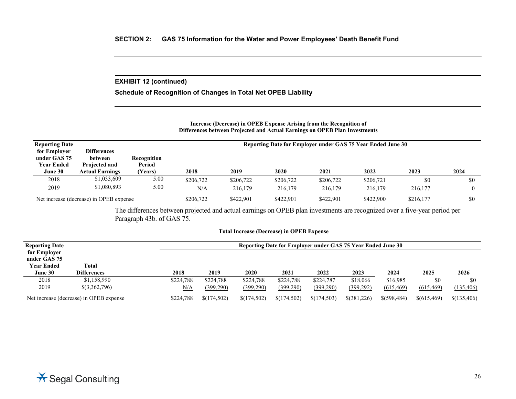## **EXHIBIT 12 (continued)**

**Schedule of Recognition of Changes in Total Net OPEB Liability**

## **Increase (Decrease) in OPEB Expense Arising from the Recognition of Differences between Projected and Actual Earnings on OPEB Plan Investments**

| <b>Reporting Date</b>                             |                                                |                       | Reporting Date for Employer under GAS 75 Year Ended June 30 |           |           |           |           |           |                |  |
|---------------------------------------------------|------------------------------------------------|-----------------------|-------------------------------------------------------------|-----------|-----------|-----------|-----------|-----------|----------------|--|
| for Employer<br>under GAS 75<br><b>Year Ended</b> | <b>Differences</b><br>between<br>Projected and | Recognition<br>Period |                                                             |           |           |           |           |           |                |  |
| June 30                                           | <b>Actual Earnings</b>                         | (Years)               | 2018                                                        | 2019      | 2020      | 2021      | 2022      | 2023      | 2024           |  |
| 2018                                              | \$1,033,609                                    | 5.00                  | \$206,722                                                   | \$206,722 | \$206,722 | \$206,722 | \$206,721 | \$0       | \$0            |  |
| 2019                                              | \$1,080,893                                    | 5.00                  | N/A                                                         | 216,179   | 216,179   | 216,179   | 216,179   | 216,177   | $\overline{0}$ |  |
|                                                   | Net increase (decrease) in OPEB expense        |                       | \$206,722                                                   | \$422,901 | \$422,901 | \$422,901 | \$422,900 | \$216,177 | \$0            |  |

The differences between projected and actual earnings on OPEB plan investments are recognized over a five-year period per Paragraph 43b. of GAS 75.

## **Total Increase (Decrease) in OPEB Expense**

| <b>Reporting Date</b>                   |                    |           | Reporting Date for Employer under GAS 75 Year Ended June 30 |             |             |             |               |              |             |             |  |
|-----------------------------------------|--------------------|-----------|-------------------------------------------------------------|-------------|-------------|-------------|---------------|--------------|-------------|-------------|--|
| for Employer                            |                    |           |                                                             |             |             |             |               |              |             |             |  |
| under GAS 75                            |                    |           |                                                             |             |             |             |               |              |             |             |  |
| <b>Year Ended</b>                       | Total              |           |                                                             |             |             |             |               |              |             |             |  |
| June 30                                 | <b>Differences</b> | 2018      | 2019                                                        | <b>2020</b> | 2021        | 2022        | 2023          | 2024         | 2025        | 2026        |  |
| 2018                                    | \$1,158,990        | \$224,788 | \$224,788                                                   | \$224,788   | \$224,788   | \$224,787   | \$18,066      | \$16,985     | \$0         | \$0         |  |
| 2019                                    | \$(3,362,796)      | N/A       | (399,290)                                                   | (399,290)   | (399,290)   | (399, 290)  | (399, 292)    | (615, 469)   | (615, 469)  | (135, 406)  |  |
| Net increase (decrease) in OPEB expense |                    | \$224,788 | \$(174,502)                                                 | \$(174,502) | \$(174,502) | \$(174,503) | $$$ (381,226) | \$(598, 484) | \$(615,469) | \$(135,406) |  |

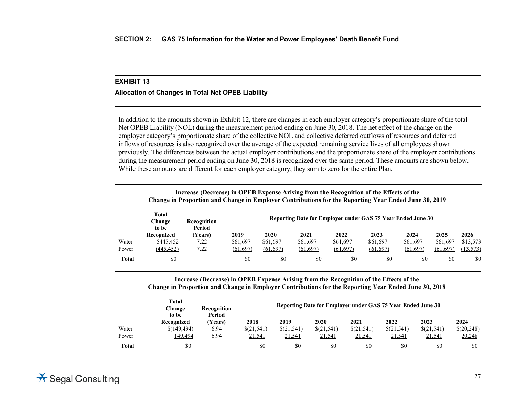## **Allocation of Changes in Total Net OPEB Liability**

In addition to the amounts shown in Exhibit 12, there are changes in each employer category's proportionate share of the total Net OPEB Liability (NOL) during the measurement period ending on June 30, 2018. The net effect of the change on the employer category's proportionate share of the collective NOL and collective deferred outflows of resources and deferred inflows of resources is also recognized over the average of the expected remaining service lives of all employees shown previously. The differences between the actual employer contributions and the proportionate share of the employer contributions during the measurement period ending on June 30, 2018 is recognized over the same period. These amounts are shown below. While these amounts are different for each employer category, they sum to zero for the entire Plan.

|       |                 | merchant precisively in OTED Expense in sing from the recognition of the Enects of the<br>Change in Proportion and Change in Employer Contributions for the Reporting Year Ended June 30, 2019 |           |          |                                                             |          |           |           |           |           |
|-------|-----------------|------------------------------------------------------------------------------------------------------------------------------------------------------------------------------------------------|-----------|----------|-------------------------------------------------------------|----------|-----------|-----------|-----------|-----------|
|       | Total<br>Change | Recognition                                                                                                                                                                                    |           |          | Reporting Date for Employer under GAS 75 Year Ended June 30 |          |           |           |           |           |
|       | to be           | Period                                                                                                                                                                                         |           | 2020     |                                                             |          |           |           |           |           |
|       | Recognized      | (Years)                                                                                                                                                                                        | 2019      |          | 2021                                                        | 2022     | 2023      | 2024      | 2025      | 2026      |
| Water | \$445,452       | 7.22                                                                                                                                                                                           | \$61,697  | \$61,697 | \$61,697                                                    | \$61,697 | \$61,697  | \$61,697  | \$61,697  | \$13,573  |
| Power | (445, 452)      | 7.22                                                                                                                                                                                           | (61, 697) | (61,697) | (61,697)                                                    | (61,697) | (61, 697) | (61, 697) | (61, 697) | (13, 573) |
| Total | \$0             |                                                                                                                                                                                                | \$0       | \$0      | \$0                                                         | \$0      | \$0       | \$0       | \$0       | \$0       |

**Increase (Decrease) in OPEB Expense Arising from the Recognition of the Effects of the**

**Increase (Decrease) in OPEB Expense Arising from the Recognition of the Effects of the Change in Proportion and Change in Employer Contributions for the Reporting Year Ended June 30, 2018**

|              | <b>Total</b><br><b>Change</b> | Recognition      |            |            |            | Reporting Date for Employer under GAS 75 Year Ended June 30 |               |            |            |
|--------------|-------------------------------|------------------|------------|------------|------------|-------------------------------------------------------------|---------------|------------|------------|
|              | to be<br>Recognized           | Period<br>Years) | 2018       | 2019       | 2020       | 2021                                                        | 2022          | 2023       | 2024       |
| Water        | \$(149,494)                   | 6.94             | \$(21,541) | \$(21,541) | \$(21,541) | \$(21,541)                                                  | \$(21,541)    | \$(21,541) | \$(20,248) |
| Power        | 149,494                       | 6.94             | 21,541     | 21,541     | 21,541     | 21,541                                                      | <u>21,541</u> | 21,541     | 20,248     |
| <b>Total</b> | \$0                           |                  | \$0        | \$0        | \$0        | \$0                                                         | \$0           | \$0        | \$0        |

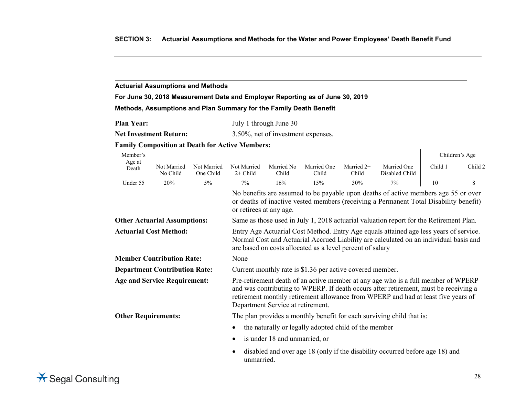## **Actuarial Assumptions and Methods**

## **For June 30, 2018 Measurement Date and Employer Reporting as of June 30, 2019**

## **Methods, Assumptions and Plan Summary for the Family Death Benefit**

| <b>Plan Year:</b>             | July 1 through June 30             |
|-------------------------------|------------------------------------|
| <b>Net Investment Return:</b> | 3.50%, net of investment expenses. |

## **Family Composition at Death for Active Members:**

| Member's                                                                                                                                                                                                                                                                                                                                   |                         |                                                                                                                                                                                                        |                                                                                            |                     |                      |                       |                               |         | Children's Age |
|--------------------------------------------------------------------------------------------------------------------------------------------------------------------------------------------------------------------------------------------------------------------------------------------------------------------------------------------|-------------------------|--------------------------------------------------------------------------------------------------------------------------------------------------------------------------------------------------------|--------------------------------------------------------------------------------------------|---------------------|----------------------|-----------------------|-------------------------------|---------|----------------|
| Age at<br>Death                                                                                                                                                                                                                                                                                                                            | Not Married<br>No Child | Not Married<br>One Child                                                                                                                                                                               | Not Married<br>$2+$ Child                                                                  | Married No<br>Child | Married One<br>Child | Married $2+$<br>Child | Married One<br>Disabled Child | Child 1 | Child 2        |
| Under 55                                                                                                                                                                                                                                                                                                                                   | 20%                     | $5\%$                                                                                                                                                                                                  | $7\%$                                                                                      | 16%                 | 15%                  | 30%                   | 7%                            | 10      | 8              |
|                                                                                                                                                                                                                                                                                                                                            |                         | No benefits are assumed to be payable upon deaths of active members age 55 or over<br>or deaths of inactive vested members (receiving a Permanent Total Disability benefit)<br>or retirees at any age. |                                                                                            |                     |                      |                       |                               |         |                |
| Same as those used in July 1, 2018 actuarial valuation report for the Retirement Plan.<br><b>Other Actuarial Assumptions:</b>                                                                                                                                                                                                              |                         |                                                                                                                                                                                                        |                                                                                            |                     |                      |                       |                               |         |                |
| <b>Actuarial Cost Method:</b><br>Entry Age Actuarial Cost Method. Entry Age equals attained age less years of service.<br>Normal Cost and Actuarial Accrued Liability are calculated on an individual basis and<br>are based on costs allocated as a level percent of salary                                                               |                         |                                                                                                                                                                                                        |                                                                                            |                     |                      |                       |                               |         |                |
| <b>Member Contribution Rate:</b>                                                                                                                                                                                                                                                                                                           |                         |                                                                                                                                                                                                        | None                                                                                       |                     |                      |                       |                               |         |                |
| <b>Department Contribution Rate:</b><br>Current monthly rate is \$1.36 per active covered member.                                                                                                                                                                                                                                          |                         |                                                                                                                                                                                                        |                                                                                            |                     |                      |                       |                               |         |                |
| Pre-retirement death of an active member at any age who is a full member of WPERP<br><b>Age and Service Requirement:</b><br>and was contributing to WPERP. If death occurs after retirement, must be receiving a<br>retirement monthly retirement allowance from WPERP and had at least five years of<br>Department Service at retirement. |                         |                                                                                                                                                                                                        |                                                                                            |                     |                      |                       |                               |         |                |
| <b>Other Requirements:</b>                                                                                                                                                                                                                                                                                                                 |                         |                                                                                                                                                                                                        | The plan provides a monthly benefit for each surviving child that is:                      |                     |                      |                       |                               |         |                |
|                                                                                                                                                                                                                                                                                                                                            |                         | the naturally or legally adopted child of the member                                                                                                                                                   |                                                                                            |                     |                      |                       |                               |         |                |
|                                                                                                                                                                                                                                                                                                                                            |                         | is under 18 and unmarried, or                                                                                                                                                                          |                                                                                            |                     |                      |                       |                               |         |                |
|                                                                                                                                                                                                                                                                                                                                            |                         |                                                                                                                                                                                                        | disabled and over age 18 (only if the disability occurred before age 18) and<br>unmarried. |                     |                      |                       |                               |         |                |



 $\mathbf{r}$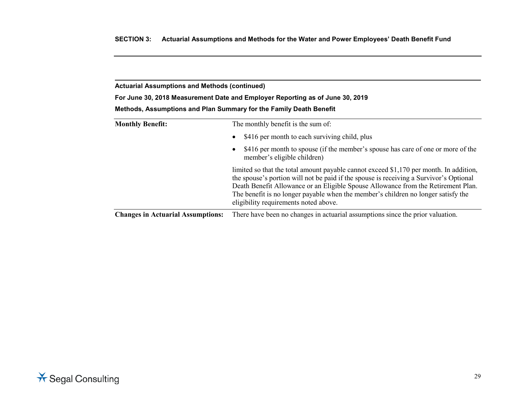**For June 30, 2018 Measurement Date and Employer Reporting as of June 30, 2019**

| Methods, Assumptions and Plan Summary for the Family Death Benefit |  |  |
|--------------------------------------------------------------------|--|--|
|--------------------------------------------------------------------|--|--|

| <b>Monthly Benefit:</b>                  | The monthly benefit is the sum of:                                                                                                                                                                                                                                                                                                                                                                  |  |  |  |  |
|------------------------------------------|-----------------------------------------------------------------------------------------------------------------------------------------------------------------------------------------------------------------------------------------------------------------------------------------------------------------------------------------------------------------------------------------------------|--|--|--|--|
|                                          | \$416 per month to each surviving child, plus<br>$\bullet$                                                                                                                                                                                                                                                                                                                                          |  |  |  |  |
|                                          | \$416 per month to spouse (if the member's spouse has care of one or more of the<br>$\bullet$<br>member's eligible children)                                                                                                                                                                                                                                                                        |  |  |  |  |
|                                          | limited so that the total amount payable cannot exceed \$1,170 per month. In addition,<br>the spouse's portion will not be paid if the spouse is receiving a Survivor's Optional<br>Death Benefit Allowance or an Eligible Spouse Allowance from the Retirement Plan.<br>The benefit is no longer payable when the member's children no longer satisfy the<br>eligibility requirements noted above. |  |  |  |  |
| <b>Changes in Actuarial Assumptions:</b> | There have been no changes in actuarial assumptions since the prior valuation.                                                                                                                                                                                                                                                                                                                      |  |  |  |  |

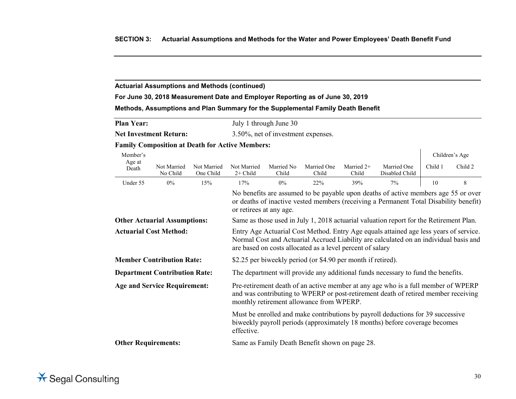## **For June 30, 2018 Measurement Date and Employer Reporting as of June 30, 2019**

## **Methods, Assumptions and Plan Summary for the Supplemental Family Death Benefit**

| <b>Plan Year:</b> | July 1 through June 30 |
|-------------------|------------------------|
|                   |                        |

**Net Investment Return:** 3.50%, net of investment expenses.

## **Family Composition at Death for Active Members:**

| Member's                                                                                                                      |                                                                                                                          |                                                                                                                                                                                                                                             |                                                                                                                                                                                                                     |                     |                                                |                       |                                                                                                                                                                             |         | Children's Age |
|-------------------------------------------------------------------------------------------------------------------------------|--------------------------------------------------------------------------------------------------------------------------|---------------------------------------------------------------------------------------------------------------------------------------------------------------------------------------------------------------------------------------------|---------------------------------------------------------------------------------------------------------------------------------------------------------------------------------------------------------------------|---------------------|------------------------------------------------|-----------------------|-----------------------------------------------------------------------------------------------------------------------------------------------------------------------------|---------|----------------|
| Age at<br>Death                                                                                                               | Not Married<br>No Child                                                                                                  | Not Married<br>One Child                                                                                                                                                                                                                    | Not Married<br>$2+$ Child                                                                                                                                                                                           | Married No<br>Child | Married One<br>Child                           | Married $2+$<br>Child | Married One<br>Disabled Child                                                                                                                                               | Child 1 | Child 2        |
| Under 55                                                                                                                      | $0\%$                                                                                                                    | 15%                                                                                                                                                                                                                                         | 17%                                                                                                                                                                                                                 | $0\%$               | 22%                                            | 39%                   | 7%                                                                                                                                                                          | 10      | 8              |
|                                                                                                                               |                                                                                                                          |                                                                                                                                                                                                                                             | or retirees at any age.                                                                                                                                                                                             |                     |                                                |                       | No benefits are assumed to be payable upon deaths of active members age 55 or over<br>or deaths of inactive vested members (receiving a Permanent Total Disability benefit) |         |                |
| <b>Other Actuarial Assumptions:</b><br>Same as those used in July 1, 2018 actuarial valuation report for the Retirement Plan. |                                                                                                                          |                                                                                                                                                                                                                                             |                                                                                                                                                                                                                     |                     |                                                |                       |                                                                                                                                                                             |         |                |
| <b>Actuarial Cost Method:</b>                                                                                                 |                                                                                                                          | Entry Age Actuarial Cost Method. Entry Age equals attained age less years of service.<br>Normal Cost and Actuarial Accrued Liability are calculated on an individual basis and<br>are based on costs allocated as a level percent of salary |                                                                                                                                                                                                                     |                     |                                                |                       |                                                                                                                                                                             |         |                |
| <b>Member Contribution Rate:</b><br>\$2.25 per biweekly period (or \$4.90 per month if retired).                              |                                                                                                                          |                                                                                                                                                                                                                                             |                                                                                                                                                                                                                     |                     |                                                |                       |                                                                                                                                                                             |         |                |
|                                                                                                                               | <b>Department Contribution Rate:</b><br>The department will provide any additional funds necessary to fund the benefits. |                                                                                                                                                                                                                                             |                                                                                                                                                                                                                     |                     |                                                |                       |                                                                                                                                                                             |         |                |
| <b>Age and Service Requirement:</b>                                                                                           |                                                                                                                          |                                                                                                                                                                                                                                             | Pre-retirement death of an active member at any age who is a full member of WPERP<br>and was contributing to WPERP or post-retirement death of retired member receiving<br>monthly retirement allowance from WPERP. |                     |                                                |                       |                                                                                                                                                                             |         |                |
|                                                                                                                               |                                                                                                                          |                                                                                                                                                                                                                                             | effective.                                                                                                                                                                                                          |                     |                                                |                       | Must be enrolled and make contributions by payroll deductions for 39 successive<br>biweekly payroll periods (approximately 18 months) before coverage becomes               |         |                |
| <b>Other Requirements:</b>                                                                                                    |                                                                                                                          |                                                                                                                                                                                                                                             |                                                                                                                                                                                                                     |                     | Same as Family Death Benefit shown on page 28. |                       |                                                                                                                                                                             |         |                |

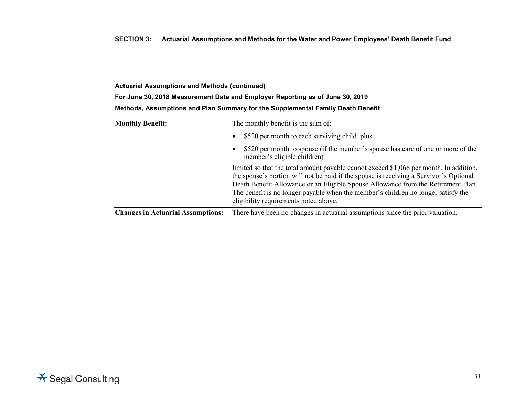**For June 30, 2018 Measurement Date and Employer Reporting as of June 30, 2019**

| <b>Monthly Benefit:</b>                  | The monthly benefit is the sum of:                                                                                                                                                                                                                                                                                                                                                                  |  |  |  |  |
|------------------------------------------|-----------------------------------------------------------------------------------------------------------------------------------------------------------------------------------------------------------------------------------------------------------------------------------------------------------------------------------------------------------------------------------------------------|--|--|--|--|
|                                          | \$520 per month to each surviving child, plus<br>$\bullet$                                                                                                                                                                                                                                                                                                                                          |  |  |  |  |
|                                          | \$520 per month to spouse (if the member's spouse has care of one or more of the<br>$\bullet$<br>member's eligible children)                                                                                                                                                                                                                                                                        |  |  |  |  |
|                                          | limited so that the total amount payable cannot exceed \$1,066 per month. In addition,<br>the spouse's portion will not be paid if the spouse is receiving a Survivor's Optional<br>Death Benefit Allowance or an Eligible Spouse Allowance from the Retirement Plan.<br>The benefit is no longer payable when the member's children no longer satisfy the<br>eligibility requirements noted above. |  |  |  |  |
| <b>Changes in Actuarial Assumptions:</b> | There have been no changes in actuarial assumptions since the prior valuation.                                                                                                                                                                                                                                                                                                                      |  |  |  |  |

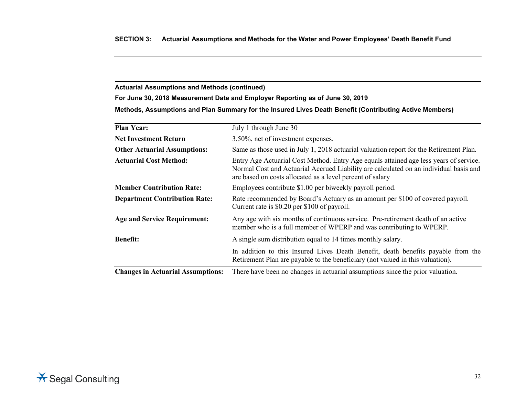**For June 30, 2018 Measurement Date and Employer Reporting as of June 30, 2019**

**Methods, Assumptions and Plan Summary for the Insured Lives Death Benefit (Contributing Active Members)**

| <b>Plan Year:</b>                    | July 1 through June 30                                                                                                                                                                                                                      |
|--------------------------------------|---------------------------------------------------------------------------------------------------------------------------------------------------------------------------------------------------------------------------------------------|
| <b>Net Investment Return</b>         | 3.50%, net of investment expenses.                                                                                                                                                                                                          |
| <b>Other Actuarial Assumptions:</b>  | Same as those used in July 1, 2018 actuarial valuation report for the Retirement Plan.                                                                                                                                                      |
| <b>Actuarial Cost Method:</b>        | Entry Age Actuarial Cost Method. Entry Age equals attained age less years of service.<br>Normal Cost and Actuarial Accrued Liability are calculated on an individual basis and<br>are based on costs allocated as a level percent of salary |
| <b>Member Contribution Rate:</b>     | Employees contribute \$1.00 per biweekly payroll period.                                                                                                                                                                                    |
| <b>Department Contribution Rate:</b> | Rate recommended by Board's Actuary as an amount per \$100 of covered payroll.<br>Current rate is \$0.20 per \$100 of payroll.                                                                                                              |
| <b>Age and Service Requirement:</b>  | Any age with six months of continuous service. Pre-retirement death of an active<br>member who is a full member of WPERP and was contributing to WPERP.                                                                                     |
| <b>Benefit:</b>                      | A single sum distribution equal to 14 times monthly salary.                                                                                                                                                                                 |
|                                      | In addition to this Insured Lives Death Benefit, death benefits payable from the<br>Retirement Plan are payable to the beneficiary (not valued in this valuation).                                                                          |
|                                      | $\alpha$ , and the contract of the contract of the contract of the contract of the contract of the contract of the contract of                                                                                                              |

**Changes in Actuarial Assumptions:** There have been no changes in actuarial assumptions since the prior valuation.